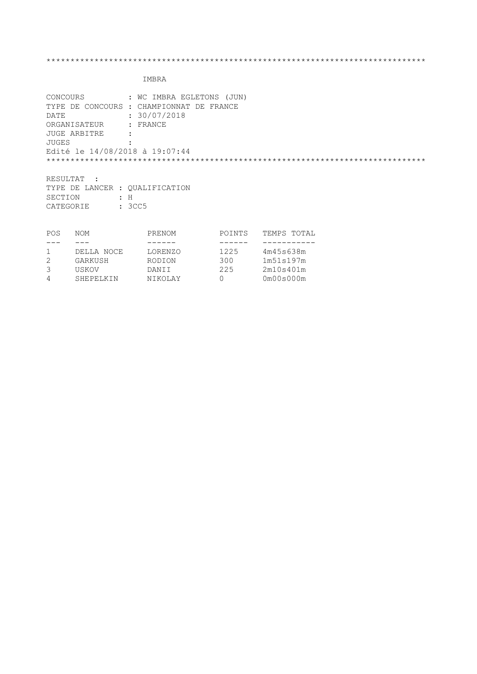| DATE                           | CONCOURS : WC IMBRA EGLETONS (JUN)<br>TYPE DE CONCOURS : CHAMPIONNAT DE FRANCE<br>: 30/07/2018 |
|--------------------------------|------------------------------------------------------------------------------------------------|
| ORGANISATEUR : FRANCE          |                                                                                                |
| JUGE ARBITRE                   | $\ddot{\cdot}$                                                                                 |
| JUGES                          |                                                                                                |
| Edité le 14/08/2018 à 19:07:44 |                                                                                                |
|                                |                                                                                                |
| RESULTAT :                     |                                                                                                |
| TYPE DE LANCER : OUALIFICATION |                                                                                                |
| SECTION                        | $\therefore$ H                                                                                 |
| CATEGORIE                      | : 3CC5                                                                                         |

| <b>NOM</b> | PRENOM  | POINTS | TEMPS TOTAL |
|------------|---------|--------|-------------|
|            |         |        |             |
| DELLA NOCE | LORENZO | 1225   | 4m45s638m   |
| GARKUSH    | RODION  | 300    | 1m51s197m   |
| USKOV      | DANT T  | 225    | 2m10s401m   |
| SHEPELKIN  | NIKOLAY |        | 0m00s000m   |
|            |         |        |             |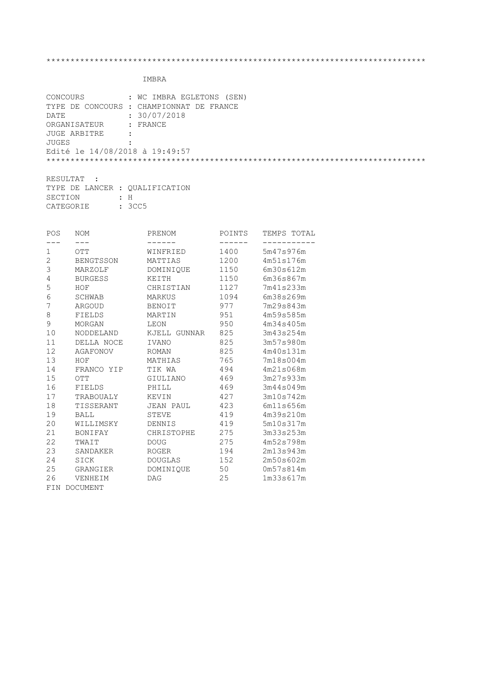| CONCOURS                       | : WC IMBRA EGLETONS (SEN)                |
|--------------------------------|------------------------------------------|
|                                | TYPE DE CONCOURS : CHAMPIONNAT DE FRANCE |
| DATE                           | : 30/07/2018                             |
| ORGANISATEUR : FRANCE          |                                          |
| JUGE ARBITRE<br>$\sim$ $\sim$  |                                          |
| JUGES                          |                                          |
| Edité le 14/08/2018 à 19:49:57 |                                          |
|                                |                                          |
|                                |                                          |

| RESULTAT :                     |  |        |  |
|--------------------------------|--|--------|--|
| TYPE DE LANCER : OUALIFICATION |  |        |  |
| SECTION                        |  | ÷Н     |  |
| CATEGORIE                      |  | : 3CC5 |  |

| POS            | NOM            | PRENOM       | POINTS  | TEMPS TOTAL |
|----------------|----------------|--------------|---------|-------------|
| ---            | $- - -$        | ------       | ------- |             |
| 1              | <b>OTT</b>     | WINFRIED     | 1400    | 5m47s976m   |
| $\overline{2}$ | BENGTSSON      | MATTIAS      | 1200    | 4m51s176m   |
| 3              | MARZOLF        | DOMINIQUE    | 1150    | 6m30s612m   |
| 4              | <b>BURGESS</b> | KEITH        | 1150    | 6m36s867m   |
| 5              | HOF            | CHRISTIAN    | 1127    | 7m41s233m   |
| 6              | SCHWAB         | MARKUS       | 1094    | 6m38s269m   |
| 7              | ARGOUD         | BENOIT       | 977     | 7m29s843m   |
| 8              | FIELDS         | MARTIN       | 951     | 4m59s585m   |
| 9              | MORGAN         | LEON         | 950     | 4m34s405m   |
| 10             | NODDELAND      | KJELL GUNNAR | 825     | 3m43s254m   |
| 11             | DELLA NOCE     | IVANO        | 825     | 3m57s980m   |
| 12             | AGAFONOV       | ROMAN        | 825     | 4m40s131m   |
| 13             | HOF            | MATHIAS      | 765     | 7m18s004m   |
| 14             | FRANCO YIP     | TIK WA       | 494     | 4m21s068m   |
| 15             | OTT            | GIULIANO     | 469     | 3m27s933m   |
| 16             | FIELDS         | PHILL        | 469     | 3m44s049m   |
| 17             | TRABOUALY      | KEVIN        | 427     | 3m10s742m   |
| 18             | TISSERANT      | JEAN PAUL    | 423     | 6m11s656m   |
| 19             | <b>BALL</b>    | STEVE        | 419     | 4m39s210m   |
| 20             | WILLIMSKY      | DENNIS       | 419     | 5m10s317m   |
| 21             | BONIFAY        | CHRISTOPHE   | 275     | 3m33s253m   |
| 22             | TWAIT          | DOUG         | 275     | 4m52s798m   |
| 23             | SANDAKER       | ROGER        | 194     | 2m13s943m   |
| 24             | SICK           | DOUGLAS      | 152     | 2m50s602m   |
| 25             | GRANGIER       | DOMINIQUE    | 50      | 0m57s814m   |
| 26             | VENHEIM        | <b>DAG</b>   | 25      | 1m33s617m   |
|                | FIN DOCUMENT   |              |         |             |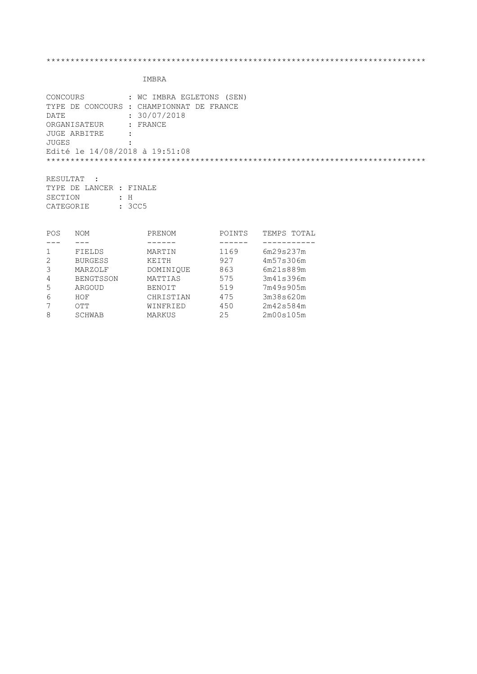|                                | CONCOURS : WC IMBRA EGLETONS (SEN)       |
|--------------------------------|------------------------------------------|
|                                | TYPE DE CONCOURS : CHAMPIONNAT DE FRANCE |
| DATE                           | : 30/07/2018                             |
| ORGANISATEUR : FRANCE          |                                          |
| JUGE ARBITRE                   |                                          |
| JUGES                          |                                          |
| Edité le 14/08/2018 à 19:51:08 |                                          |
|                                |                                          |
|                                |                                          |
| RESULTAT :                     |                                          |

|           | TYPE DE LANCER : FINALE |        |
|-----------|-------------------------|--------|
| SECTION   |                         | : H    |
| CATEGORIE |                         | : 3CC5 |

| POS | <b>NOM</b>       | PRENOM        | POINTS | TEMPS<br>TOTAL |
|-----|------------------|---------------|--------|----------------|
|     |                  |               |        |                |
|     | FIELDS           | MARTIN        | 1169   | 6m29s237m      |
| 2   | <b>BURGESS</b>   | KEITH         | 927    | 4m57s306m      |
| 3   | MARZOLF          | DOMINIOUE     | 863    | 6m21s889m      |
| 4   | <b>BENGTSSON</b> | MATTIAS       | 575    | 3m41s396m      |
| 5   | ARGOUD           | <b>BENOIT</b> | 519    | 7m49s905m      |
| 6   | HOF              | CHRISTIAN     | 475    | 3m38s620m      |
|     | ОТТ              | WINFRIED      | 450    | 2m42s584m      |
| 8   | SCHWAB           | MARKUS        | 25     | 2m00s105m      |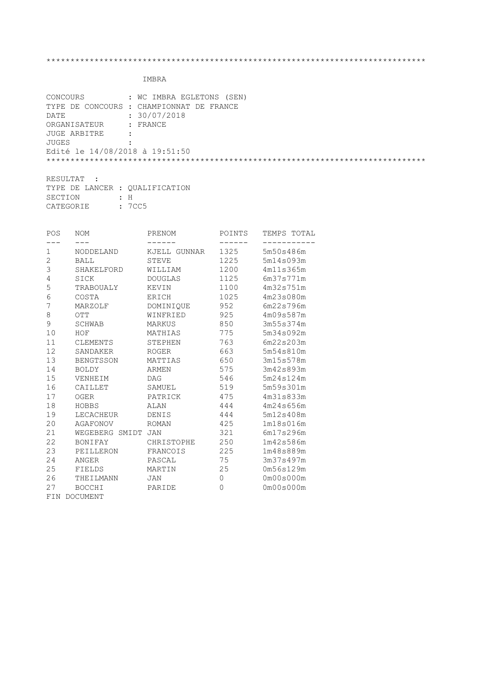|                                | CONCOURS : WC IMBRA EGLETONS (SEN)       |
|--------------------------------|------------------------------------------|
|                                | TYPE DE CONCOURS : CHAMPIONNAT DE FRANCE |
| DATE                           | : 30/07/2018                             |
| ORGANISATEUR : FRANCE          |                                          |
| JUGE ARBITRE                   | $\cdot$ :                                |
| JUGES                          |                                          |
| Edité le 14/08/2018 à 19:51:50 |                                          |
|                                |                                          |
|                                |                                          |

| RESULTAT :                     |  |        |  |
|--------------------------------|--|--------|--|
| TYPE DE LANCER : OUALIFICATION |  |        |  |
| SECTION                        |  | ÷Н     |  |
| CATEGORIE                      |  | : 7CC5 |  |

| POS | NOM                     | PRENOM         | POINTS  | TEMPS TOTAL |
|-----|-------------------------|----------------|---------|-------------|
| --- | $---$                   |                | ------- |             |
| 1   | NODDELAND               | KJELL GUNNAR   | 1325    | 5m50s486m   |
| 2   | <b>BALL</b>             | STEVE          | 1225    | 5m14s093m   |
| 3   | SHAKELFORD              | WILLIAM        | 1200    | 4m11s365m   |
| 4   | SICK                    | <b>DOUGLAS</b> | 1125    | 6m37s771m   |
| 5   | TRABOUALY               | KEVIN          | 1100    | 4m32s751m   |
| 6   | COSTA                   | ERICH          | 1025    | 4m23s080m   |
| 7   | MARZOLF                 | DOMINIQUE      | 952     | 6m22s796m   |
| 8   | $\overline{\text{OTT}}$ | WINFRIED       | 925     | 4m09s587m   |
| 9   | SCHWAB                  | MARKUS         | 850     | 3m55s374m   |
| 10  | HOF                     | MATHIAS        | 775     | 5m34s092m   |
| 11  | CLEMENTS                | STEPHEN        | 763     | 6m22s203m   |
| 12  | SANDAKER                | <b>ROGER</b>   | 663     | 5m54s810m   |
| 13  | BENGTSSON               | MATTIAS        | 650     | 3m15s578m   |
| 14  | <b>BOLDY</b>            | ARMEN          | 575     | 3m42s893m   |
| 15  | VENHEIM                 | <b>DAG</b>     | 546     | 5m24s124m   |
| 16  | CAILLET                 | SAMUEL         | 519     | 5m59s301m   |
| 17  | OGER                    | PATRICK        | 475     | 4m31s833m   |
| 18  | HOBBS                   | ALAN           | 444     | 4m24s656m   |
| 19  | LECACHEUR               | DENIS          | 444     | 5m12s408m   |
| 20  | AGAFONOV                | ROMAN          | 425     | 1m18s016m   |
| 21  | WEGEBERG SMIDT JAN      |                | 321     | 6m17s296m   |
| 22  | <b>BONIFAY</b>          | CHRISTOPHE     | 250     | 1m42s586m   |
| 23  | PEILLERON               | FRANCOIS       | 225     | 1m48s889m   |
| 24  | ANGER                   | PASCAL         | 75      | 3m37s497m   |
| 25  | FIELDS                  | MARTIN         | 25      | 0m56s129m   |
| 26  | THEILMANN               | JAN            | 0       | 0m00s000m   |
| 27  | <b>BOCCHI</b>           | PARIDE         | 0       | 0m00s000m   |
|     | FIN DOCUMENT            |                |         |             |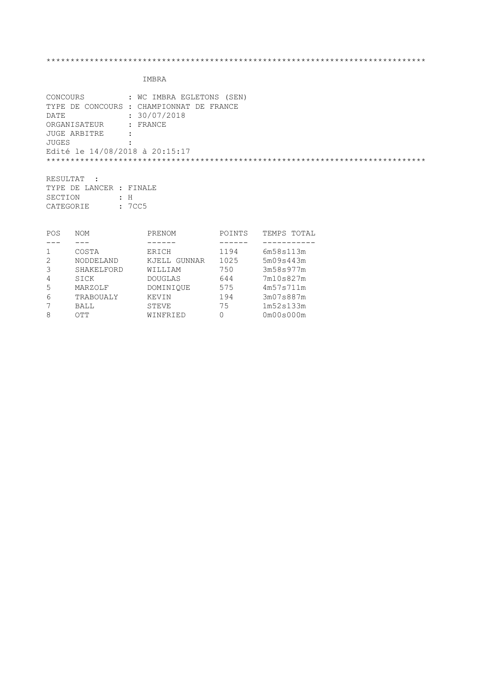## IMBRA

| CONCOURS                       | : WC IMBRA EGLETONS (SEN)                |
|--------------------------------|------------------------------------------|
|                                | TYPE DE CONCOURS : CHAMPIONNAT DE FRANCE |
| DATE                           | : 30/07/2018                             |
| ORGANISATEUR : FRANCE          |                                          |
| JUGE ARBITRE                   | $\ddot{\cdot}$                           |
| JUGES                          |                                          |
| Edité le 14/08/2018 à 20:15:17 |                                          |
|                                |                                          |
|                                |                                          |
| RESULTAT                       |                                          |

TYPE DE LANCER : FINALE SECTION : H CATEGORIE : 7CC5

| POS | <b>NOM</b> | PRENOM          | POINTS | TEMPS TOTAL |
|-----|------------|-----------------|--------|-------------|
|     |            |                 |        |             |
|     | COSTA      | ERICH           | 1194   | 6m58s113m   |
| 2   | NODDELAND  | GUNNAR<br>KJELL | 1025   | 5m09s443m   |
|     | SHAKELFORD | WILLIAM         | 750    | 3m58s977m   |
| 4   | SICK       | DOUGLAS         | 644    | 7m10s827m   |
| 5   | MARZOLF    | DOMINIOUE       | 575    | 4m57s711m   |
| 6   | TRABOUALY  | KEVIN           | 194    | 3m07s887m   |
|     | BALL       | STEVE           | 75     | 1m52s133m   |
| 8   | ОТТ        | WINFRIED        | 0      | 0m00s000m   |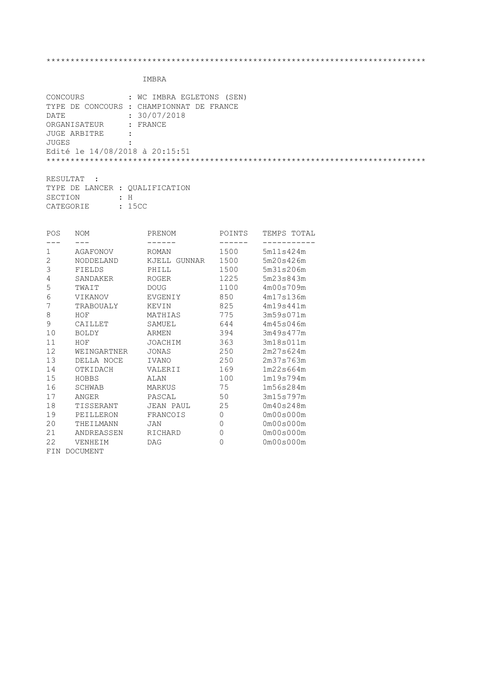| CONCOURS                       | : WC IMBRA EGLETONS (SEN)                |
|--------------------------------|------------------------------------------|
|                                | TYPE DE CONCOURS : CHAMPIONNAT DE FRANCE |
| DATE                           | : 30/07/2018                             |
| ORGANISATEUR : FRANCE          |                                          |
| JUGE ARBITRE                   | $\ddot{\cdot}$                           |
| JUGES                          |                                          |
| Edité le 14/08/2018 à 20:15:51 |                                          |
|                                |                                          |
|                                |                                          |

| RESULTAT :                     |  |     |
|--------------------------------|--|-----|
| TYPE DE LANCER : OUALIFICATION |  |     |
| SECTION                        |  | : H |
| <b>CATEGORIE</b><br>: 15CC     |  |     |

| POS | <b>NOM</b>      | PRENOM          | POINTS         | TEMPS TOTAL |
|-----|-----------------|-----------------|----------------|-------------|
|     |                 |                 |                |             |
| 1   | AGAFONOV        | ROMAN           | 1500           | 5m11s424m   |
| 2   | NODDELAND       | KJELL<br>GUNNAR | 1500           | 5m20s426m   |
| 3   | FIELDS          | PHILL           | 1500           | 5m31s206m   |
| 4   | SANDAKER        | <b>ROGER</b>    | 1225           | 5m23s843m   |
| 5   | TWAIT           | <b>DOUG</b>     | 1100           | 4m00s709m   |
| 6   | VIKANOV         | EVGENIY         | 850            | 4m17s136m   |
| 7   | TRABOUALY       | KEVIN           | 825            | 4m19s441m   |
| 8   | HOF             | MATHIAS         | 775            | 3m59s071m   |
| 9   | CAILLET         | SAMUEL          | 644            | 4m45s046m   |
| 10  | <b>BOLDY</b>    | <b>ARMEN</b>    | 394            | 3m49s477m   |
| 11  | HOF             | JOACHIM         | 363            | 3m18s011m   |
| 12  | WEINGARTNER     | JONAS           | 250            | 2m27s624m   |
| 13  | DELLA NOCE      | <b>IVANO</b>    | 250            | 2m37s763m   |
| 14  | OTKIDACH        | VALERII         | 169            | 1m22s664m   |
| 15  | HOBBS           | ALAN            | 100            | 1m19s794m   |
| 16  | SCHWAB          | MARKUS          | 75             | 1m56s284m   |
| 17  | ANGER           | PASCAL          | 50             | 3m15s797m   |
| 18  | TISSERANT       | JEAN PAUL       | 25             | 0m40s248m   |
| 19  | PEILLERON       | FRANCOIS        | $\overline{0}$ | 0m00s000m   |
| 20  | THEILMANN       | JAN             | 0              | 0m00s000m   |
| 21  | ANDREASSEN      | RICHARD         | 0              | 0m00s000m   |
| 22  | VENHEIM         | <b>DAG</b>      | 0              | 0m00s000m   |
| FIN | <b>DOCUMENT</b> |                 |                |             |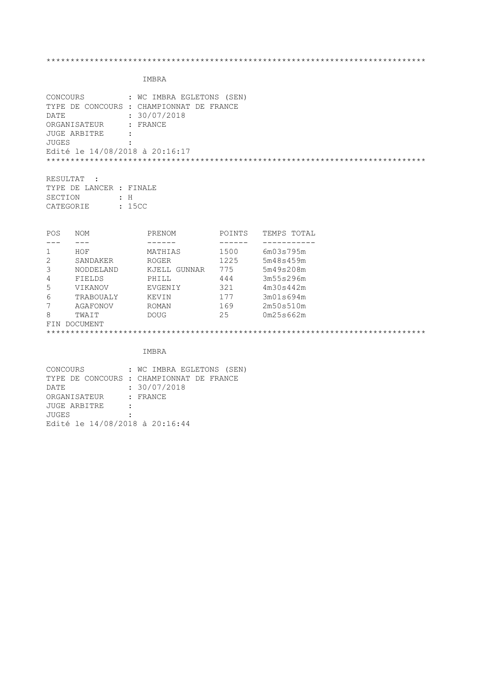# IMBRA

| CONCOURS     | : WC IMBRA EGLETONS (SEN)                |
|--------------|------------------------------------------|
|              | TYPE DE CONCOURS : CHAMPIONNAT DE FRANCE |
| DATE         | : 30/07/2018                             |
| ORGANISATEUR | : FRANCE                                 |
| JUGE ARBITRE | $\ddot{\phantom{a}}$                     |
| JUGES        | $\ddot{\cdot}$                           |
|              | Edité le 14/08/2018 à 20:16:17           |
|              |                                          |
|              |                                          |
| RESULTAT     |                                          |

TYPE DE LANCER : FINALE SECTION : H CATEGORIE : 15CC

| <b>POS</b>      | <b>NOM</b>     | PRENOM          | POINTS | TEMPS TOTAL |
|-----------------|----------------|-----------------|--------|-------------|
|                 |                |                 |        |             |
|                 | HOF            | MATHIAS         | 1500   | 6m03s795m   |
| 2               | SANDAKER       | <b>ROGER</b>    | 1225   | 5m48s459m   |
| 3               | NODDELAND      | GUNNAR<br>KJELL | 775    | 5m49s208m   |
| 4               | FIELDS         | PHILL           | 444    | 3m55s296m   |
| 5               | <b>VIKANOV</b> | EVGENIY         | 321    | 4m30s442m   |
| 6               | TRABOUALY      | KEVIN           | 177    | 3m01s694m   |
| 7               | AGAFONOV       | ROMAN           | 169    | 2m50s510m   |
| 8               | TWAIT          | <b>DOUG</b>     | 25     | 0m25s662m   |
| DOCUMENT<br>FIN |                |                 |        |             |
|                 |                |                 |        |             |

| <b>CONCOURS</b>                | : WC IMBRA EGLETONS (SEN)                |
|--------------------------------|------------------------------------------|
|                                | TYPE DE CONCOURS : CHAMPIONNAT DE FRANCE |
| DATE                           | : 30/07/2018                             |
| ORGANISATEUR : FRANCE          |                                          |
| JUGE ARBITRE<br>$\mathbf{r}$   |                                          |
| JUGES                          |                                          |
| Edité le 14/08/2018 à 20:16:44 |                                          |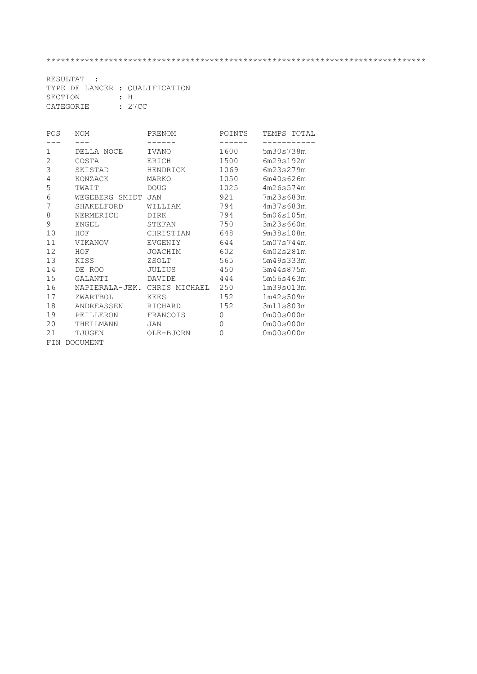| RESULTAT :                     |  |     |  |
|--------------------------------|--|-----|--|
| TYPE DE LANCER : OUALIFICATION |  |     |  |
| SECTION                        |  | : H |  |
| : 27CC<br>CATEGORIE            |  |     |  |

| POS | <b>NOM</b>      | PRENOM        | POINTS   | TEMPS TOTAL           |
|-----|-----------------|---------------|----------|-----------------------|
|     |                 |               |          |                       |
| 1   | DELLA NOCE      | IVANO         | 1600     | 5m30s738m             |
| 2   | COSTA           | <b>ERICH</b>  | 1500     | 6m29s192m             |
| 3   | SKISTAD         | HENDRICK      | 1069     | 6m23s279m             |
| 4   | KONZACK         | MARKO         | 1050     | 6m40s626m             |
| 5   | TWAIT           | <b>DOUG</b>   | 1025     | 4m26s574m             |
| 6   | WEGEBERG SMIDT  | <b>JAN</b>    | 921      | 7m23s683m             |
| 7   | SHAKELFORD      | WILLIAM       | 794      | 4m37s683m             |
| 8   | NERMERICH       | DIRK          | 794      | 5m06s105m             |
| 9   | ENGEL           | STEFAN        | 750      | 3m23s660m             |
| 10  | HOF             | CHRISTIAN     | 648      | 9m38s108m             |
| 11  | <b>VIKANOV</b>  | EVGENIY       | 644      | 5m07s744m             |
| 12  | HOF             | JOACHIM       | 602      | 6m02s281m             |
| 13  | KISS            | ZSOLT         | 565      | 5m49s333m             |
| 14  | DE ROO          | <b>JULIUS</b> | 450      | 3m44s875m             |
| 15  | GALANTI         | DAVIDE        | 444      | 5m56s463m             |
| 16  | NAPIERALA-JEK.  | CHRIS MICHAEL | 250      | 1m39s013m             |
| 17  | ZWARTBOL        | <b>KEES</b>   | 152      | 1m42s509m             |
| 18  | ANDREASSEN      | RICHARD       | 152      | 3m11s803m             |
| 19  | PEILLERON       | FRANCOIS      | $\Omega$ | 0m00s000m             |
| 20  | THEILMANN       | JAN           | $\Omega$ | 0 <sub>m00s000m</sub> |
| 21  | TJUGEN          | OLE-BJORN     | 0        | 0m00s000m             |
| FIN | <b>DOCUMENT</b> |               |          |                       |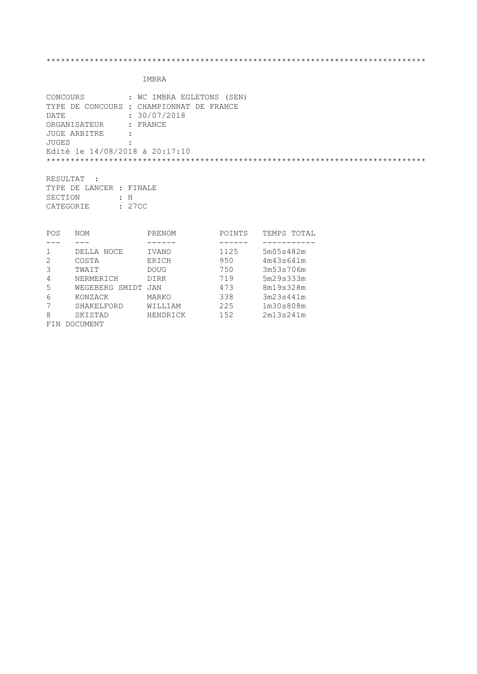| CONCOURS<br><b>DATE</b><br><b>JUGES</b> | ORGANISATEUR<br><b>JUGE ARBITRE</b>             | : WC IMBRA EGLETONS (SEN)<br>TYPE DE CONCOURS : CHAMPIONNAT DE FRANCE<br>: 30/07/2018<br>: FRANCE<br>Edité le 14/08/2018 à 20:17:10 |                      |                                    |  |
|-----------------------------------------|-------------------------------------------------|-------------------------------------------------------------------------------------------------------------------------------------|----------------------|------------------------------------|--|
| RESULTAT<br>SECTION                     | TYPE DE LANCER : FINALE<br>$\pm$ H<br>CATEGORIE | : 27CC                                                                                                                              |                      |                                    |  |
| <b>POS</b>                              | NOM                                             | PRENOM                                                                                                                              | POINTS               | TEMPS TOTAL                        |  |
| $\mathbf 1$<br>2<br>$\bigcap$           | DELLA NOCE<br>COSTA<br>$m \sim \sim \tau$       | IVANO<br>ERICH<br>$\Gamma$                                                                                                          | 1125<br>950<br>7 E A | 5m05s482m<br>4m43s641m<br>2mE2cT2c |  |

| POS            | NOM            | PRENOM      | POINTS | TOTA.<br>TEMPS |
|----------------|----------------|-------------|--------|----------------|
|                |                |             |        |                |
| 1              | DELLA NOCE     | IVANO       | 1125   | 5m05s482m      |
| 2              | COSTA          | ERICH       | 950    | 4m43s641m      |
| 3              | TWAIT          | <b>DOUG</b> | 750    | 3m53s706m      |
| $\overline{4}$ | NERMERICH      | DIRK        | 719    | 5m29s333m      |
| 5              | WEGEBERG SMIDT | JAN         | 473    | 8m19s328m      |
| 6              | KONZACK        | MARKO       | 338    | 3m23s441m      |
| 7              | SHAKELFORD     | WILLIAM     | 225    | 1m30s808m      |
| 8              | SKISTAD        | HENDRICK    | 152    | 2m13s241m      |
| FIN            | DOCUMENT       |             |        |                |
|                |                |             |        |                |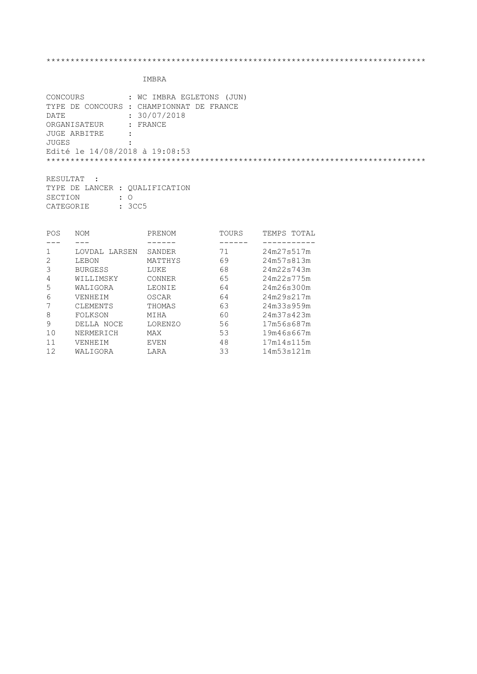|                                | CONCOURS : WC IMBRA EGLETONS (JUN)       |
|--------------------------------|------------------------------------------|
|                                | TYPE DE CONCOURS : CHAMPIONNAT DE FRANCE |
| DATE                           | : 30/07/2018                             |
| ORGANISATEUR : FRANCE          |                                          |
| JUGE ARBITRE                   |                                          |
| JUGES                          |                                          |
| Edité le 14/08/2018 à 19:08:53 |                                          |
|                                |                                          |
|                                |                                          |

| RESULTAT :                     |  |           |  |  |  |
|--------------------------------|--|-----------|--|--|--|
| TYPE DE LANCER : OUALIFICATION |  |           |  |  |  |
| SECTION                        |  | $\cdot$ 0 |  |  |  |
| CATEGORIE                      |  | : 3CC5    |  |  |  |

| POS | <b>NOM</b>       | PRENOM      | TOURS | TEMPS TOTAL |
|-----|------------------|-------------|-------|-------------|
|     |                  |             |       |             |
|     | LARSEN<br>LOVDAL | SANDER      | 71    | 24m27s517m  |
|     | LEBON            | MATTHYS     | 69    | 24m57s813m  |
| 3   | <b>BURGESS</b>   | LUKE        | 68    | 24m22s743m  |
| 4   | WILLIMSKY        | CONNER      | 65    | 24m22s775m  |
| 5   | WALIGORA         | LEONIE      | 64    | 24m26s300m  |
| 6   | VENHEIM          | OSCAR       | 64    | 24m29s217m  |
|     | CLEMENTS         | THOMAS      | 63    | 24m33s959m  |
| 8   | FOLKSON          | MIHA        | 60    | 24m37s423m  |
| 9   | DELLA NOCE       | LORENZO     | 56    | 17m56s687m  |
| 10  | NERMERICH        | MAX         | 53    | 19m46s667m  |
| 11  | VENHEIM          | <b>EVEN</b> | 48    | 17m14s115m  |
| 12  | WALIGORA         | LARA        | 33    | 14m53s121m  |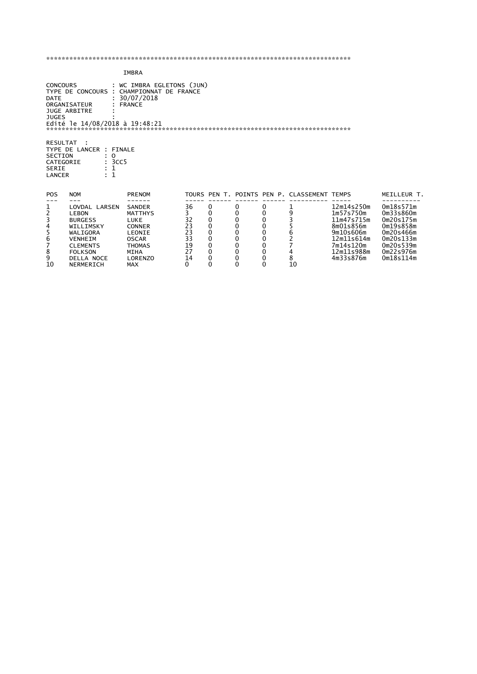|                                                                          |                                                                                                                          | <b>IMBRA</b>                                                                                                       |                                             |                                                 |                                                 |                                                 |                                             |                                                                                                          |                                                                                                      |
|--------------------------------------------------------------------------|--------------------------------------------------------------------------------------------------------------------------|--------------------------------------------------------------------------------------------------------------------|---------------------------------------------|-------------------------------------------------|-------------------------------------------------|-------------------------------------------------|---------------------------------------------|----------------------------------------------------------------------------------------------------------|------------------------------------------------------------------------------------------------------|
| <b>CONCOURS</b><br><b>DATE</b><br><b>JUGES</b>                           | ORGANISATEUR<br><b>JUGE ARBITRE</b><br>Edité le 14/08/2018 à 19:48:21                                                    | : WC IMBRA EGLETONS (JUN)<br>TYPE DE CONCOURS : CHAMPIONNAT DE FRANCE<br>: 30/07/2018<br><b>FRANCE</b>             |                                             |                                                 |                                                 |                                                 |                                             |                                                                                                          |                                                                                                      |
| <b>RESULTAT</b><br>SECTION<br>CATEGORIE<br><b>SERIE</b><br><b>LANCER</b> | TYPE DE LANCER : FINALE<br>$\circ$<br>: 3CC5<br>: 1                                                                      |                                                                                                                    |                                             |                                                 |                                                 |                                                 |                                             |                                                                                                          |                                                                                                      |
| <b>POS</b>                                                               | <b>NOM</b>                                                                                                               | <b>PRENOM</b>                                                                                                      |                                             |                                                 |                                                 |                                                 | TOURS PEN T. POINTS PEN P. CLASSEMENT TEMPS |                                                                                                          | MEILLEUR T.                                                                                          |
| 1<br>2<br>3<br>4<br>5<br>6<br>7<br>8                                     | LOVDAL LARSEN<br>LEBON<br><b>BURGESS</b><br>WILLIMSKY<br>WALIGORA<br><b>VENHEIM</b><br><b>CLEMENTS</b><br><b>FOLKSON</b> | <b>SANDER</b><br><b>MATTHYS</b><br>LUKE<br><b>CONNER</b><br>LEONIE<br><b>OSCAR</b><br><b>THOMAS</b><br><b>MIHA</b> | 36<br>3<br>32<br>23<br>23<br>33<br>19<br>27 | 0<br>0<br>0<br>0<br>0<br>0<br>0<br>$\mathbf{0}$ | 0<br>0<br>0<br>0<br>0<br>0<br>0<br>$\mathbf{0}$ | 0<br>0<br>0<br>0<br>0<br>0<br>0<br>$\mathbf{0}$ | 9<br>562<br>4                               | 12m14s250m<br>1m57s750m<br>11m47s715m<br>8m01s856m<br>9m10s606m<br>12m11s614m<br>7m14s120m<br>12m11s988m | 0m18s571m<br>0m33s860m<br>0m20s175m<br>Om19s858m<br>0m20s466m<br>0m20s133m<br>0m20s539m<br>0m22s976m |

9 DELLA NOCE LORENZO 14 0 0 0 8 4m33s876m 0m18s114m

10 NERMERICH MAX 0 0 0 0 10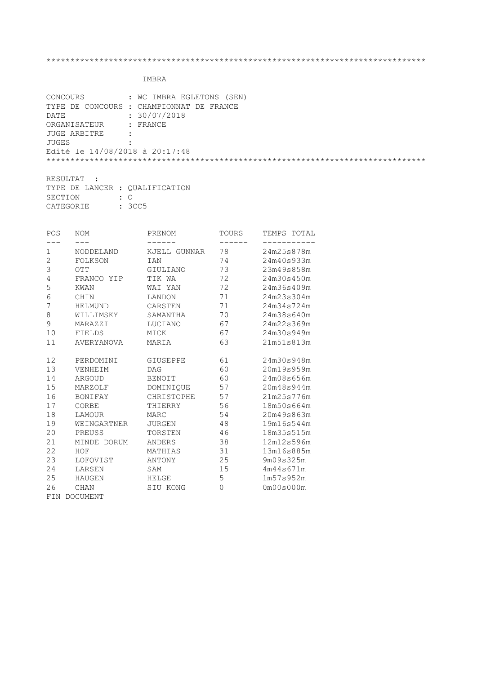|                                             | CONCOURS : WC IMBRA EGLETONS (SEN)       |
|---------------------------------------------|------------------------------------------|
|                                             | TYPE DE CONCOURS : CHAMPIONNAT DE FRANCE |
| DATE                                        | : 30/07/2018                             |
| ORGANISATEUR : FRANCE                       |                                          |
| JUGE ARBITRE<br>$\sim$ $\sim$ $\sim$ $\sim$ |                                          |
| <b>JUGES</b>                                |                                          |
| Edité le 14/08/2018 à 20:17:48              |                                          |
|                                             |                                          |
|                                             |                                          |

| RESULTAT :                     |  |           |  |  |  |
|--------------------------------|--|-----------|--|--|--|
| TYPE DE LANCER : OUALIFICATION |  |           |  |  |  |
| SECTION                        |  | $\cdot$ 0 |  |  |  |
| <b>CATEGORIE</b>               |  | : 3CC5    |  |  |  |

| POS | NOM                  | PRENOM       | TOURS   | TEMPS TOTAL |
|-----|----------------------|--------------|---------|-------------|
| 1   | $- - -$<br>NODDELAND | KJELL GUNNAR | 78      | 24m25s878m  |
| 2   | FOLKSON              | IAN          | 74      | 24m40s933m  |
| 3   | OTT                  | GIULIANO     | 73      | 23m49s858m  |
| 4   | FRANCO YIP           | TIK WA       | 72      | 24m30s450m  |
| 5   | KWAN                 | WAI YAN      | 72      | 24m36s409m  |
| 6   | CHIN                 | LANDON       | 71      | 24m23s304m  |
| 7   | HELMUND              | CARSTEN      | 71      | 24m34s724m  |
| 8   | WILLIMSKY            | SAMANTHA     | 70      | 24m38s640m  |
| 9   | MARAZZI              | LUCIANO      | 67      | 24m22s369m  |
| 10  | FIELDS               | MICK         | 67      | 24m30s949m  |
| 11  | AVERYANOVA           | MARIA        | 63      | 21m51s813m  |
| 12  | PERDOMINI            | GIUSEPPE     | 61      | 24m30s948m  |
| 13  | VENHEIM              | DAG          | 60      | 20m19s959m  |
| 14  | ARGOUD               | BENOIT       | 60      | 24m08s656m  |
| 15  | MARZOLF              | DOMINIQUE    | 57      | 20m48s944m  |
| 16  | BONIFAY              | CHRISTOPHE   | 57      | 21m25s776m  |
| 17  | CORBE                | THIERRY      | 56      | 18m50s664m  |
| 18  | LAMOUR               | MARC         | 54      | 20m49s863m  |
| 19  | WEINGARTNER          | JURGEN       | 48      | 19m16s544m  |
| 20  | PREUSS               | TORSTEN      | 46      | 18m35s515m  |
| 21  | MINDE DORUM          | ANDERS       | 38      | 12m12s596m  |
| 22  | HOF                  | MATHIAS      | 31      | 13m16s885m  |
| 23  | LOFOVIST             | ANTONY       | 25      | 9m09s325m   |
| 24  | LARSEN               | SAM          | 15      | 4m44s671m   |
| 25  | HAUGEN               | HELGE        | 5       | 1m57s952m   |
| 26  | <b>CHAN</b>          | SIU KONG     | $\circ$ | 0m00s000m   |
| FIN | DOCUMENT             |              |         |             |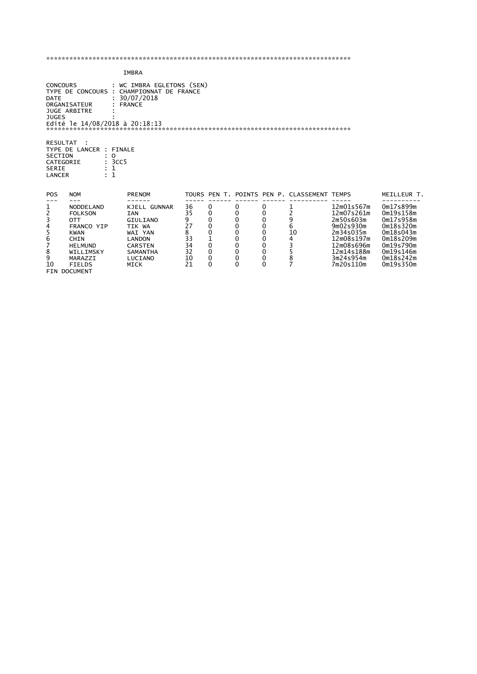|                                                                          |                                                                                                                                                                                                  | IMBRA                                                                                                                                                     |                                                        |                                                                                         |                                                |                                                                                     |                                                                                        |                                                                                                                                     |                                                                                                                                |
|--------------------------------------------------------------------------|--------------------------------------------------------------------------------------------------------------------------------------------------------------------------------------------------|-----------------------------------------------------------------------------------------------------------------------------------------------------------|--------------------------------------------------------|-----------------------------------------------------------------------------------------|------------------------------------------------|-------------------------------------------------------------------------------------|----------------------------------------------------------------------------------------|-------------------------------------------------------------------------------------------------------------------------------------|--------------------------------------------------------------------------------------------------------------------------------|
| <b>DATE</b><br><b>JUGES</b>                                              | : WC IMBRA EGLETONS (SEN)<br><b>CONCOURS</b><br>TYPE DE CONCOURS : CHAMPIONNAT DE FRANCE<br>30/07/2018<br><b>FRANCE</b><br>ORGANISATEUR<br><b>JUGE ARBITRE</b><br>Edité le 14/08/2018 à 20:18:13 |                                                                                                                                                           |                                                        |                                                                                         |                                                |                                                                                     |                                                                                        |                                                                                                                                     |                                                                                                                                |
| RESULTAT<br><b>SECTION</b><br>CATEGORIE<br><b>SERIE</b><br><b>LANCER</b> | TYPE DE LANCER : FINALE<br>$\Omega$<br>: 3CC5<br>: 1                                                                                                                                             |                                                                                                                                                           |                                                        |                                                                                         |                                                |                                                                                     |                                                                                        |                                                                                                                                     |                                                                                                                                |
| <b>POS</b>                                                               | <b>NOM</b>                                                                                                                                                                                       | PRENOM                                                                                                                                                    |                                                        |                                                                                         |                                                |                                                                                     | TOURS PEN T. POINTS PEN P. CLASSEMENT TEMPS                                            |                                                                                                                                     | MEILLEUR T.                                                                                                                    |
| 1234567<br>8<br>9<br>10                                                  | <b>NODDELAND</b><br><b>FOLKSON</b><br><b>OTT</b><br>FRANCO YIP<br><b>KWAN</b><br><b>CHIN</b><br><b>HELMUND</b><br>WILLIMSKY<br>MARAZZI<br><b>FIELDS</b><br><b>FIN DOCUMENT</b>                   | <b>KJELL GUNNAR</b><br><b>IAN</b><br><b>GIULIANO</b><br>TIK WA<br>WAI YAN<br><b>LANDON</b><br><b>CARSTEN</b><br><b>SAMANTHA</b><br>LUCIANO<br><b>MICK</b> | 36<br>35<br>9<br>27<br>8<br>33<br>34<br>32<br>10<br>21 | 0<br>0<br>0<br>$\mathbf 0$<br>0<br>$\mathbf{1}$<br>0<br>$\mathbf 0$<br>0<br>$\mathbf 0$ | 0<br>0<br>0<br>0<br>0<br>0<br>0<br>0<br>0<br>0 | 0<br>0<br>$\mathbf 0$<br>$\mathbf 0$<br>$\mathbf 0$<br>0<br>0<br>0<br>0<br>$\Omega$ | 2<br>9<br>6<br>10<br>$\begin{array}{c} 4 \\ 3 \\ 5 \\ 8 \end{array}$<br>$\overline{7}$ | 12m01s567m<br>12m07s261m<br>2m50s603m<br>9m02s930m<br>2m34s035m<br>12m08s197m<br>12m08s696m<br>12m14s188m<br>3m24s954m<br>7m20s110m | 0m17s899m<br>0m19s158m<br>0m17s958m<br>0m18s320m<br>0m18s043m<br>0m18s209m<br>0m19s790m<br>0m19s146m<br>0m18s242m<br>0m19s350m |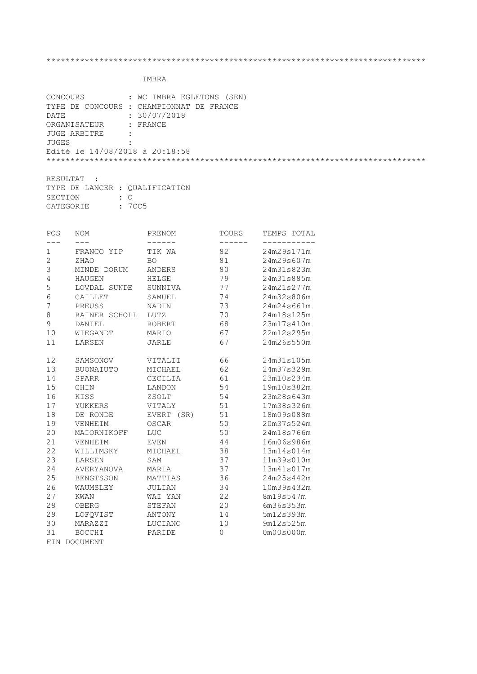| CONCOURS                                    | : WC IMBRA EGLETONS (SEN)                |
|---------------------------------------------|------------------------------------------|
|                                             | TYPE DE CONCOURS : CHAMPIONNAT DE FRANCE |
| DATE                                        | : 30/07/2018                             |
| ORGANISATEUR : FRANCE                       |                                          |
| JUGE ARBITRE<br>$\sim$ $\sim$ $\sim$ $\sim$ |                                          |
| JUGES                                       |                                          |
| Edité le 14/08/2018 à 20:18:58              |                                          |
|                                             |                                          |
|                                             |                                          |

| RESULTAT : |                                |  |  |  |  |
|------------|--------------------------------|--|--|--|--|
|            | TYPE DE LANCER : OUALIFICATION |  |  |  |  |
| SECTION    | $\cdot$ 0                      |  |  |  |  |
| CATEGORIE  | : 7CC5                         |  |  |  |  |

| POS            | NOM               | PRENOM                | TOURS | TEMPS TOTAL |
|----------------|-------------------|-----------------------|-------|-------------|
|                |                   |                       |       |             |
| 1              | FRANCO YIP        | TIK WA                | 82    | 24m29s171m  |
| $\overline{c}$ | ZHAO              | <b>BO</b>             | 81    | 24m29s607m  |
| 3              | MINDE DORUM       | <b>ANDERS</b>         | 80    | 24m31s823m  |
| $\overline{4}$ | <b>HAUGEN</b>     | HELGE                 | 79    | 24m31s885m  |
| 5              | LOVDAL SUNDE      | SUNNIVA               | 77    | 24m21s277m  |
| $6\phantom{a}$ | CAILLET           | SAMUEL                | 74    | 24m32s806m  |
| 7              | PREUSS            | NADIN                 | 73    | 24m24s661m  |
| $\,8\,$        | RAINER SCHOLL     | LUTZ                  | $70$  | 24m18s125m  |
| $\mathsf 9$    | DANIEL            | <b>ROBERT</b>         | 68    | 23m17s410m  |
| 10             | WIEGANDT          | MARIO                 | 67    | 22m12s295m  |
| 11             | LARSEN            | <b>JARLE</b>          | 67    | 24m26s550m  |
|                |                   |                       |       |             |
| 12             | SAMSONOV          | VITALII               | 66    | 24m31s105m  |
| 13             | <b>BUONAIUTO</b>  | MICHAEL               | 62    | 24m37s329m  |
| 14             | <b>SPARR</b>      | CECILIA               | 61    | 23m10s234m  |
| 15             | CHIN              | LANDON                | 54    | 19m10s382m  |
| 16             | KISS              | ZSOLT                 | 54    | 23m28s643m  |
| 17             | YUKKERS           | VITALY                | 51    | 17m38s326m  |
| 18             | DE RONDE          | <b>EVERT</b><br>(SR)  | 51    | 18m09s088m  |
| 19             | VENHEIM           | OSCAR                 | 50    | 20m37s524m  |
| 20             | MAIORNIKOFF       | $_{\mbox{\tiny LUC}}$ | 50    | 24m18s766m  |
| 21             | VENHEIM           | EVEN                  | 44    | 16m06s986m  |
| 22             | WILLIMSKY         | MICHAEL               | 38    | 13m14s014m  |
| 23             | LARSEN            | SAM                   | 37    | 11m39s010m  |
| 24             | <b>AVERYANOVA</b> | MARIA                 | 37    | 13m41s017m  |
| 25             | <b>BENGTSSON</b>  | MATTIAS               | 36    | 24m25s442m  |
| 26             | WAUMSLEY          | <b>JULIAN</b>         | 34    | 10m39s432m  |
| 27             | KWAN              | WAI YAN               | 22    | 8m19s547m   |
| 28             | OBERG             | STEFAN                | 20    | 6m36s353m   |
| 29             | LOFQVIST          | ANTONY                | 14    | 5m12s393m   |
| 30             | MARAZZI           | LUCIANO               | 10    | 9m12s525m   |
| 31             | <b>BOCCHI</b>     | PARIDE                | 0     | 0m00s000m   |
| FIN            | <b>DOCUMENT</b>   |                       |       |             |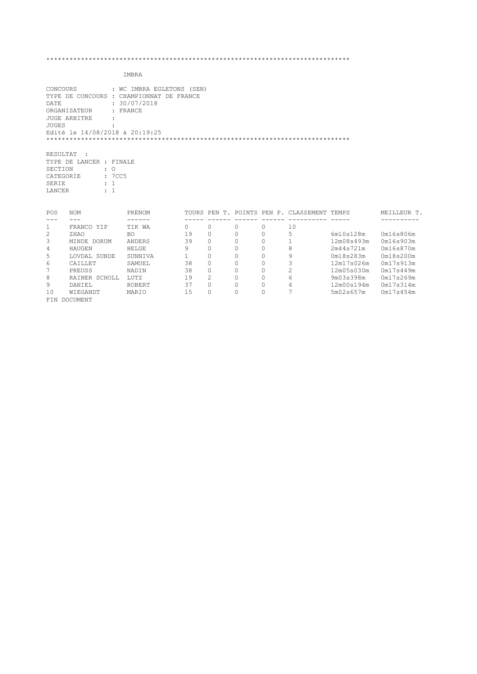|                      | CONCOURS<br>: WC IMBRA EGLETONS (SEN)    |                   |              |                      |                      |                     |                                             |                         |                        |
|----------------------|------------------------------------------|-------------------|--------------|----------------------|----------------------|---------------------|---------------------------------------------|-------------------------|------------------------|
|                      | TYPE DE CONCOURS : CHAMPIONNAT DE FRANCE |                   |              |                      |                      |                     |                                             |                         |                        |
| DATE                 | : 30/07/2018                             |                   |              |                      |                      |                     |                                             |                         |                        |
|                      | ORGANISATEUR<br>: FRANCE                 |                   |              |                      |                      |                     |                                             |                         |                        |
|                      | <b>JUGE ARBITRE</b>                      |                   |              |                      |                      |                     |                                             |                         |                        |
| <b>JUGES</b>         |                                          |                   |              |                      |                      |                     |                                             |                         |                        |
|                      | Edité le 14/08/2018 à 20:19:25           |                   |              |                      |                      |                     |                                             |                         |                        |
|                      |                                          |                   |              |                      |                      |                     |                                             |                         |                        |
|                      |                                          |                   |              |                      |                      |                     |                                             |                         |                        |
| RESULTAT             | $\sim$ :                                 |                   |              |                      |                      |                     |                                             |                         |                        |
|                      | TYPE DE LANCER : FINALE                  |                   |              |                      |                      |                     |                                             |                         |                        |
| SECTION              | $\therefore$ 0                           |                   |              |                      |                      |                     |                                             |                         |                        |
| CATEGORIE            | :7CC5                                    |                   |              |                      |                      |                     |                                             |                         |                        |
| SERIE                | $\pm$ 1                                  |                   |              |                      |                      |                     |                                             |                         |                        |
| LANCER               | $\cdot$ 1                                |                   |              |                      |                      |                     |                                             |                         |                        |
|                      |                                          |                   |              |                      |                      |                     |                                             |                         |                        |
|                      |                                          |                   |              |                      |                      |                     |                                             |                         |                        |
| POS                  | <b>NOM</b>                               | PRENOM            |              |                      |                      |                     | TOURS PEN T. POINTS PEN P. CLASSEMENT TEMPS |                         | MEILLEUR T.            |
| ---                  | $---$                                    |                   |              | $- - - - - -$        |                      |                     |                                             |                         |                        |
| $\mathbf{1}$         | FRANCO YIP                               | TIK WA            | $\cap$       | $\Omega$             | $\Omega$             | $\Omega$            | 10                                          |                         |                        |
| 2                    | ZHAO                                     | BO.               | 19           | $\Omega$             | $\Omega$<br>$\Omega$ | $\Omega$            | 5                                           | 6m10s128m               | 0m16s806m              |
| 3                    | MINDE DORUM                              | ANDERS            | 39<br>9      | $\Omega$<br>$\Omega$ | $\Omega$             | $\Omega$            | 1                                           | 12m08s493m              | 0m16s903m              |
| 4                    | HAUGEN                                   | HELGE             | $\mathbf{1}$ | $\Omega$             | $\Omega$             | $\circ$<br>$\Omega$ | 8                                           | 2m44s721m               | 0m16s870m              |
| 5                    | LOVDAL SUNDE<br>CAILLET                  | SUNNIVA<br>SAMUEL | 38           | $\Omega$             | $\Omega$             | 0                   | 9                                           | 0m18s283m<br>12m17s026m | 0m18s200m<br>0m17s913m |
| 6<br>$7\phantom{.0}$ | PREUSS                                   | NADIN             | 38           | $\Omega$             | $\Omega$             | $\Omega$            | 3                                           | 12m05s030m              | 0m17s449m              |
| 8                    | RAINER SCHOLL                            | LUTZ              | 19           | 2                    | $\Omega$             | $\circ$             | $\overline{c}$<br>6                         | 9m03s398m               | 0m17s269m              |
| 9                    | DANIEL                                   | ROBERT            | 37           | $\Omega$             | $\Omega$             | $\Omega$            | 4                                           | 12m00s194m              | 0m17s314m              |
| 10                   | WIEGANDT                                 | MARIO             | 15           | $\Omega$             | $\Omega$             | $\Omega$            | 7                                           | 5m02s657m               | 0m17s454m              |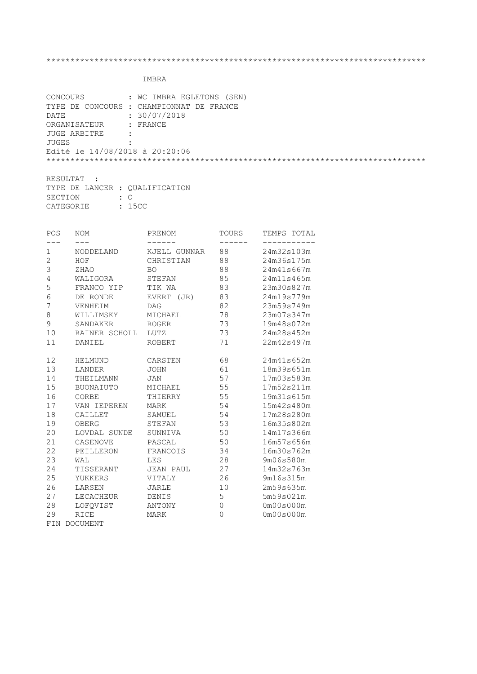| CONCOURS                       | : WC IMBRA EGLETONS (SEN)                |
|--------------------------------|------------------------------------------|
|                                | TYPE DE CONCOURS : CHAMPIONNAT DE FRANCE |
| DATE                           | : 30/07/2018                             |
| ORGANISATEUR : FRANCE          |                                          |
| JUGE ARBITRE                   | $\cdot$ :                                |
| JUGES                          |                                          |
| Edité le 14/08/2018 à 20:20:06 |                                          |
|                                |                                          |
|                                |                                          |

| RESULTAT :                     |  |           |  |  |  |  |  |
|--------------------------------|--|-----------|--|--|--|--|--|
| TYPE DE LANCER : OUALIFICATION |  |           |  |  |  |  |  |
| SECTION                        |  | $\cdot$ 0 |  |  |  |  |  |
| <b>CATEGORIE</b>               |  | : 15CC    |  |  |  |  |  |

| POS          | NOM           | PRENOM           | TOURS          | TEMPS TOTAL |
|--------------|---------------|------------------|----------------|-------------|
|              |               |                  |                |             |
| 1            | NODDELAND     | KJELL GUNNAR     | 88             | 24m32s103m  |
| $\mathbf{2}$ | HOF           | CHRISTIAN        | 88             | 24m36s175m  |
| 3            | ZHAO          | <b>BO</b>        | 88             | 24m41s667m  |
| $\sqrt{4}$   | WALIGORA      | STEFAN           | 85             | 24m11s465m  |
| 5            | FRANCO YIP    | TIK WA           | 83             | 23m30s827m  |
| $\sqrt{6}$   | DE RONDE      | EVERT (JR)       | 83             | 24m19s779m  |
| 7            | VENHEIM       | <b>DAG</b>       | 82             | 23m59s749m  |
| $\,8\,$      | WILLIMSKY     | MICHAEL          | 78             | 23m07s347m  |
| 9            | SANDAKER      | ROGER            | 73             | 19m48s072m  |
| 10           | RAINER SCHOLL | LUTZ             | 73             | 24m28s452m  |
| 11           | DANIEL        | ROBERT           | 71             | 22m42s497m  |
| 12           | HELMUND       | CARSTEN          | 68             | 24m41s652m  |
| 13           | LANDER        | <b>JOHN</b>      | 61             | 18m39s651m  |
| 14           | THEILMANN     | JAN              | 57             | 17m03s583m  |
| 15           | BUONAIUTO     | MICHAEL          | 55             | 17m52s211m  |
| 16           | CORBE         | THIERRY          | 55             | 19m31s615m  |
| 17           | VAN IEPEREN   | <b>MARK</b>      | 54             | 15m42s480m  |
| 18           | CAILLET       | SAMUEL           | 54             | 17m28s280m  |
| 19           | OBERG         | STEFAN           | 53             | 16m35s802m  |
| 20           | LOVDAL SUNDE  | SUNNIVA          | 50             | 14m17s366m  |
| 21           | CASENOVE      | PASCAL           | 50             | 16m57s656m  |
| 22           | PEILLERON     | FRANCOIS         | 34             | 16m30s762m  |
| 23           | WAL           | <b>LES</b>       | 28             | 9m06s580m   |
| 24           | TISSERANT     | <b>JEAN PAUL</b> | 27             | 14m32s763m  |
| 25           | YUKKERS       | VITALY           | 26             | 9m16s315m   |
| 26           | LARSEN        | JARLE            | 10             | 2m59s635m   |
| 27           | LECACHEUR     | DENIS            | 5              | 5m59s021m   |
| 28           | LOFQVIST      | ANTONY           | 0              | 0m00s000m   |
| 29           | RICE          | MARK             | $\overline{0}$ | 0m00s000m   |
|              | FIN DOCUMENT  |                  |                |             |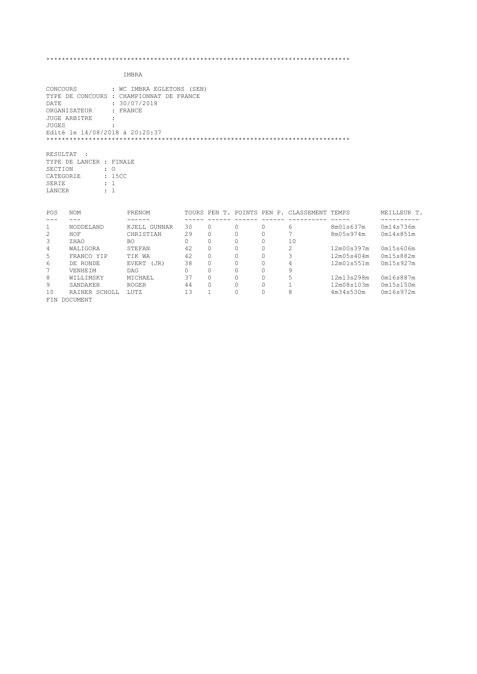IMBRA

| CONCOURS                                    | : WC IMBRA EGLETONS (SEN)                |
|---------------------------------------------|------------------------------------------|
|                                             | TYPE DE CONCOURS : CHAMPIONNAT DE FRANCE |
| DATE                                        | : 30/07/2018                             |
| ORGANISATEUR : FRANCE                       |                                          |
| JUGE ARBITRE<br>$\sim$ $\sim$ $\sim$ $\sim$ |                                          |
| JUGES                                       |                                          |
| Edité le 14/08/2018 à 20:20:37              |                                          |
|                                             |                                          |
|                                             |                                          |

RESULTAT : TYPE DE LANCER : FINALE SECTION : O CATEGORIE : 15CC SERIE : 1 LANCER : 1

| POS | <b>NOM</b>       | PRENOM        |    |          |   | TOURS PEN T. POINTS PEN P. CLASSEMENT TEMPS |            | MEILLEUR T. |
|-----|------------------|---------------|----|----------|---|---------------------------------------------|------------|-------------|
|     |                  |               |    |          |   |                                             |            |             |
|     | <b>NODDELAND</b> | KJELL GUNNAR  | 30 | $\Omega$ |   | 6                                           | 8m01s637m  | 0m14s736m   |
| 2   | HOF              | CHRISTIAN     | 29 | $\Omega$ | 0 |                                             | 8m05s974m  | 0m14s851m   |
| 3   | ZHAO             | BO            |    | $\Omega$ |   | 10                                          |            |             |
| 4   | WAT TGORA        | STEFAN        | 42 | $\Omega$ |   | っ                                           | 12m00s397m | 0m15s606m   |
| 5   | FRANCO YIP       | TTK WA        | 42 | $\circ$  |   |                                             | 12m05s404m | 0m15s882m   |
| 6   | DE RONDE         | EVERT<br>(JR) | 38 | $\Omega$ |   |                                             | 12m01s551m | 0m15s927m   |
|     | <b>VENHETM</b>   | <b>DAG</b>    |    | $\Omega$ | O | 9                                           |            |             |
| 8   | WILLIMSKY        | MTCHAEL       | 37 | $\Omega$ | O |                                             | 12m13s298m | 0m16s887m   |
| 9   | SANDAKER         | <b>ROGER</b>  | 44 | $\Omega$ |   |                                             | 12m08s103m | 0m15s150m   |
| 10  | RAINER SCHOLL    | TJJTZ         | 13 |          |   | 8                                           | 4m34s530m  | 0m16s972m   |
| FTN | DOCUMENT         |               |    |          |   |                                             |            |             |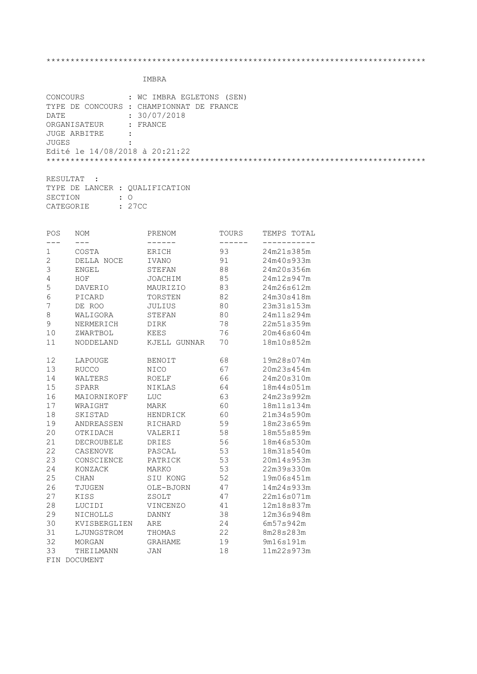| CONCOURS                       | : WC IMBRA EGLETONS (SEN)                |
|--------------------------------|------------------------------------------|
|                                | TYPE DE CONCOURS : CHAMPIONNAT DE FRANCE |
| DATE                           | : 30/07/2018                             |
| ORGANISATEUR : FRANCE          |                                          |
| JUGE ARBITRE :                 |                                          |
| JUGES                          |                                          |
| Edité le 14/08/2018 à 20:21:22 |                                          |
|                                |                                          |
|                                |                                          |

| RESULTAT :                     |  |           |  |  |  |  |  |
|--------------------------------|--|-----------|--|--|--|--|--|
| TYPE DE LANCER : OUALIFICATION |  |           |  |  |  |  |  |
| SECTION                        |  | $\cdot$ 0 |  |  |  |  |  |
| CATEGORIE                      |  | : 27CC    |  |  |  |  |  |

| POS            | NOM             | PRENOM         | TOURS | TEMPS TOTAL |
|----------------|-----------------|----------------|-------|-------------|
|                |                 |                |       |             |
| 1              | COSTA           | ERICH          | 93    | 24m21s385m  |
| $\overline{2}$ | DELLA NOCE      | <b>IVANO</b>   | 91    | 24m40s933m  |
| 3              | <b>ENGEL</b>    | STEFAN         | 88    | 24m20s356m  |
| $\overline{4}$ | HOF             | <b>JOACHIM</b> | 85    | 24m12s947m  |
| 5              | <b>DAVERIO</b>  | MAURIZIO       | 83    | 24m26s612m  |
| $6\phantom{a}$ | PICARD          | TORSTEN        | 82    | 24m30s418m  |
| 7              | DE ROO          | JULIUS         | 80    | 23m31s153m  |
| 8              | WALIGORA        | STEFAN         | 80    | 24m11s294m  |
| 9              | NERMERICH       | <b>DIRK</b>    | 78    | 22m51s359m  |
| 10             | ZWARTBOL        | <b>KEES</b>    | 76    | 20m46s604m  |
| 11             | NODDELAND       | KJELL GUNNAR   | 70    | 18m10s852m  |
|                |                 |                |       |             |
| 12             | LAPOUGE         | <b>BENOIT</b>  | 68    | 19m28s074m  |
| 13             | <b>RUCCO</b>    | <b>NICO</b>    | 67    | 20m23s454m  |
| 14             | WALTERS         | <b>ROELF</b>   | 66    | 24m20s310m  |
| 15             | <b>SPARR</b>    | NIKLAS         | 64    | 18m44s051m  |
| 16             | MAIORNIKOFF     | LUC            | 63    | 24m23s992m  |
| 17             | WRAIGHT         | <b>MARK</b>    | 60    | 18m11s134m  |
| 18             | SKISTAD         | HENDRICK       | 60    | 21m34s590m  |
| 19             | ANDREASSEN      | RICHARD        | 59    | 18m23s659m  |
| 20             | OTKIDACH        | VALERII        | 58    | 18m55s859m  |
| 21             | DECROUBELE      | DRIES          | 56    | 18m46s530m  |
| 22             | CASENOVE        | PASCAL         | 53    | 18m31s540m  |
| 23             | CONSCIENCE      | PATRICK        | 53    | 20m14s953m  |
| 24             | KONZACK         | MARKO          | 53    | 22m39s330m  |
| 25             | CHAN            | SIU KONG       | 52    | 19m06s451m  |
| 26             | TJUGEN          | OLE-BJORN      | 47    | 14m24s933m  |
| 27             | KISS            | ZSOLT          | 47    | 22m16s071m  |
| 28             | LUCIDI          | VINCENZO       | 41    | 12m18s837m  |
| 29             | NICHOLLS        | <b>DANNY</b>   | 38    | 12m36s948m  |
| 30             | KVISBERGLIEN    | ARE            | 24    | 6m57s942m   |
| 31             | LJUNGSTROM      | THOMAS         | 22    | 8m28s283m   |
| 32             | MORGAN          | <b>GRAHAME</b> | 19    | 9m16s191m   |
| 33             | THEILMANN       | <b>JAN</b>     | 18    | 11m22s973m  |
| FIN            | <b>DOCUMENT</b> |                |       |             |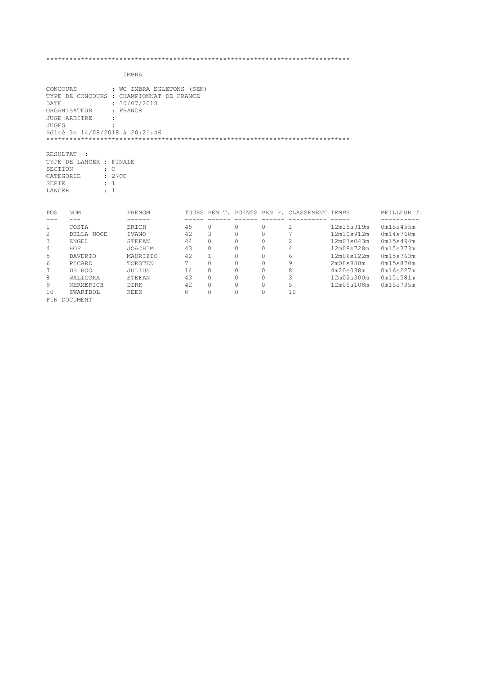IMBRA

FIN DOCUMENT

| CONCOURS       |                         |                | : WC IMBRA EGLETONS (SEN)                |             |          |          |          |                                             |            |             |
|----------------|-------------------------|----------------|------------------------------------------|-------------|----------|----------|----------|---------------------------------------------|------------|-------------|
|                |                         |                | TYPE DE CONCOURS : CHAMPIONNAT DE FRANCE |             |          |          |          |                                             |            |             |
| DATE           |                         |                | : 30/07/2018                             |             |          |          |          |                                             |            |             |
|                | ORGANISATEUR            |                | : FRANCE                                 |             |          |          |          |                                             |            |             |
|                | JUGE ARBITRE            |                |                                          |             |          |          |          |                                             |            |             |
| JUGES          |                         |                |                                          |             |          |          |          |                                             |            |             |
|                |                         |                | Edité le 14/08/2018 à 20:21:46           |             |          |          |          |                                             |            |             |
|                |                         |                |                                          |             |          |          |          |                                             |            |             |
| RESULTAT       |                         |                |                                          |             |          |          |          |                                             |            |             |
|                | TYPE DE LANCER : FINALE |                |                                          |             |          |          |          |                                             |            |             |
| SECTION        |                         | $\therefore$ 0 |                                          |             |          |          |          |                                             |            |             |
|                | CATEGORIE               | : 27CC         |                                          |             |          |          |          |                                             |            |             |
| SERIE          |                         | $\therefore$ 1 |                                          |             |          |          |          |                                             |            |             |
| LANCER         |                         | $\pm$ 1        |                                          |             |          |          |          |                                             |            |             |
|                |                         |                |                                          |             |          |          |          |                                             |            |             |
| POS            | <b>NOM</b>              |                | PRENOM                                   |             |          |          |          | TOURS PEN T. POINTS PEN P. CLASSEMENT TEMPS |            | MEILLEUR T. |
| ---<br>1       | $---$<br>COSTA          |                | ------<br>ERICH                          | 45          | $\circ$  | $\Omega$ | $\Omega$ |                                             | 12m15s919m | 0m15s455m   |
| $\overline{c}$ | DELLA NOCE              |                | IVANO                                    | 42          | 3        | $\Omega$ | $\circ$  | 7                                           | 12m10s912m | 0m14s760m   |
| 3              | ENGEL                   |                | STEFAN                                   | 44          | $\Omega$ | $\Omega$ | 0        | 2                                           | 12m07s043m | 0m15s494m   |
| 4              | HOF                     |                | JOACHIM                                  | 43          | $\Omega$ | $\Omega$ | 0        | 4                                           | 12m08s728m | 0m15s373m   |
| 5              | DAVERIO                 |                | MAURIZIO                                 | 42          | 1        | $\circ$  | 0        | 6                                           | 12m06s122m | 0m15s763m   |
| 6              | PICARD                  |                | TORSTEN                                  | $7^{\circ}$ | $\Omega$ | $\Omega$ | 0        | 9                                           | 2m08s888m  | 0m15s870m   |
| 7              | DE ROO                  |                | JULIUS                                   | 14          | $\Omega$ | $\Omega$ | 0        | 8                                           | 4m20s038m  | 0m16s227m   |
| 8              | WALIGORA                |                | STEFAN                                   | 43          | $\circ$  | $\Omega$ | 0        | 3                                           | 12m02s300m | 0m15s581m   |
| 9              | NERMERICH               |                | DIRK                                     | 42          | $\Omega$ | $\Omega$ | 0        | 5                                           | 12m05s108m | 0m15s735m   |
| 10             | ZWARTBOL                |                | KEES                                     | $\Omega$    | $\Omega$ | $\Omega$ | $\Omega$ | 10                                          |            |             |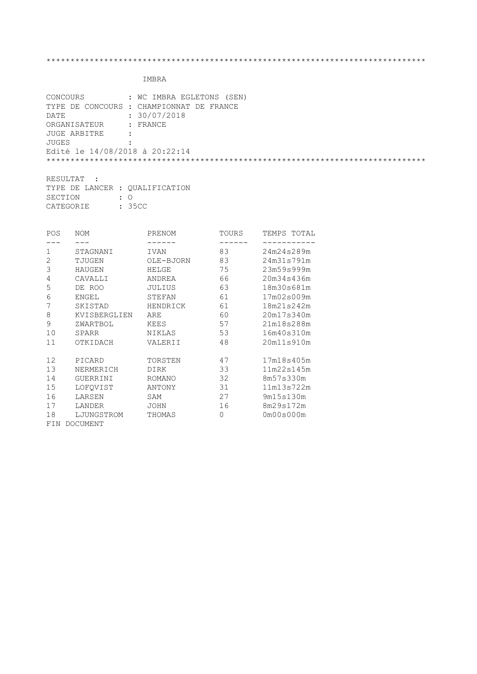| CONCOURS                       | : WC IMBRA EGLETONS (SEN)                |
|--------------------------------|------------------------------------------|
|                                | TYPE DE CONCOURS : CHAMPIONNAT DE FRANCE |
| DATE                           | : 30/07/2018                             |
| ORGANISATEUR : FRANCE          |                                          |
| JUGE ARBITRE                   | $\sim$ 1.                                |
| JUGES                          |                                          |
| Edité le 14/08/2018 à 20:22:14 |                                          |
|                                |                                          |
|                                |                                          |

| RESULTAT :                     |  |           |  |  |  |  |  |
|--------------------------------|--|-----------|--|--|--|--|--|
| TYPE DE LANCER : OUALIFICATION |  |           |  |  |  |  |  |
| SECTION                        |  | $\cdot$ 0 |  |  |  |  |  |
| CATEGORIE                      |  | : 35CC    |  |  |  |  |  |

| POS | <b>NOM</b>      | PRENOM        | TOURS | TEMPS TOTAL |
|-----|-----------------|---------------|-------|-------------|
|     |                 |               |       |             |
| 1   | STAGNANI        | IVAN          | 83    | 24m24s289m  |
| 2   | TJUGEN          | OLE-BJORN     | 83    | 24m31s791m  |
| 3   | <b>HAUGEN</b>   | HELGE         | 75    | 23m59s999m  |
| 4   | CAVALLI         | ANDREA        | 66    | 20m34s436m  |
| 5   | DE ROO          | JULIUS        | 63    | 18m30s681m  |
| 6   | ENGEL           | STEFAN        | 61    | 17m02s009m  |
|     | SKISTAD         | HENDRICK      | 61    | 18m21s242m  |
| 8   | KVISBERGLIEN    | ARE           | 60    | 20m17s340m  |
| 9   | ZWARTBOL        | KEES          | 57    | 21m18s288m  |
| 10  | SPARR           | NIKLAS        | 53    | 16m40s310m  |
| 11  | OTKIDACH        | VALERII       | 48    | 20m11s910m  |
|     |                 |               |       |             |
| 12  | PICARD          | TORSTEN       | 47    | 17m18s405m  |
| 13  | NERMERICH       | <b>DIRK</b>   | 33    | 11m22s145m  |
| 14  | <b>GUERRINI</b> | <b>ROMANO</b> | 32    | 8m57s330m   |
| 15  | LOFQVIST        | ANTONY        | 31    | 11m13s722m  |
| 16  | LARSEN          | SAM           | 27    | 9m15s130m   |
| 17  | LANDER          | JOHN          | 16    | 8m29s172m   |
| 18  | LJUNGSTROM      | THOMAS        | 0     | 0m00s000m   |
| FIN | <b>DOCUMENT</b> |               |       |             |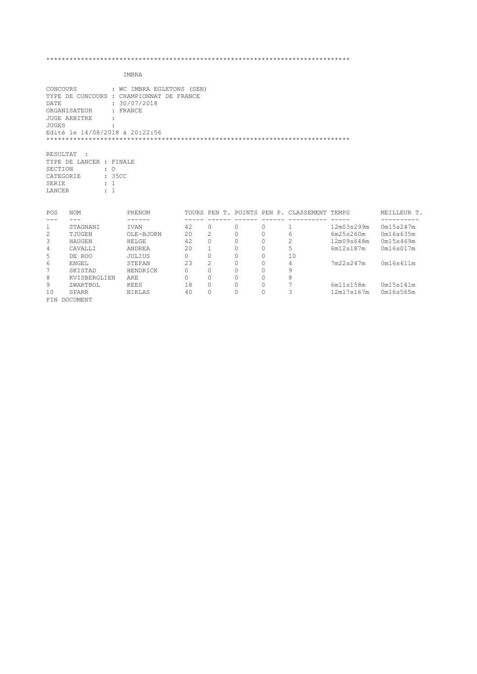IMBRA

FIN DOCUMENT

| CONCOURS<br>DATE<br>JUGES                           | ORGANISATEUR<br><b>JUGE ARBITRE</b><br>Edité le 14/08/2018 à 20:22:56             | : WC IMBRA EGLETONS (SEN)<br>TYPE DE CONCOURS : CHAMPIONNAT DE FRANCE<br>: 30/07/2018<br>: FRANCE |          |              |          |          |                                             |            |             |
|-----------------------------------------------------|-----------------------------------------------------------------------------------|---------------------------------------------------------------------------------------------------|----------|--------------|----------|----------|---------------------------------------------|------------|-------------|
| RESULTAT<br>SECTION<br>CATEGORIE<br>SERIE<br>LANCER | $\sim$ 1<br>TYPE DE LANCER : FINALE<br>$\cdot$ 0<br>: 35CC<br>$\div$ 1<br>$\pm$ 1 |                                                                                                   |          |              |          |          |                                             |            |             |
| POS                                                 | <b>NOM</b>                                                                        | PRENOM                                                                                            |          |              |          |          | TOURS PEN T. POINTS PEN P. CLASSEMENT TEMPS |            | MEILLEUR T. |
|                                                     |                                                                                   |                                                                                                   |          |              |          |          |                                             |            |             |
| $\mathbf{1}$                                        | STAGNANI                                                                          | IVAN                                                                                              | 42       | $\Omega$     | $\Omega$ | $\Omega$ | 1                                           | 12m03s299m | 0m15s247m   |
| 2                                                   | TJUGEN                                                                            | OLE-BJORN                                                                                         | 20       | 2            | $\Omega$ | $\Omega$ | 6                                           | 6m25s260m  | 0m16s635m   |
| 3                                                   | HAUGEN                                                                            | HELGE                                                                                             | 42       | $\Omega$     | $\Omega$ | $\circ$  | 2                                           | 12m09s648m | 0m15s469m   |
| 4                                                   | CAVALLI                                                                           | ANDREA                                                                                            | 20       | $\mathbf{1}$ | 0        | $\circ$  | 5                                           | 6m12s187m  | 0m16s017m   |
| 5                                                   | DE ROO                                                                            | JULIUS                                                                                            | $\Omega$ | $\circ$      | $\Omega$ | $\Omega$ | 10                                          |            |             |
| 6                                                   | ENGEL                                                                             | STEFAN                                                                                            | 23       | 2            | 0        | $\circ$  | 4                                           | 7m22s247m  | 0m16s611m   |
| 7                                                   | SKISTAD                                                                           | HENDRICK                                                                                          | $\Omega$ | $\Omega$     | $\Omega$ | $\Omega$ | 9                                           |            |             |
| 8                                                   | KVISBERGLIEN                                                                      | ARE                                                                                               | $\Omega$ | $\Omega$     | $\Omega$ | $\Omega$ | 8                                           |            |             |
| 9                                                   | ZWARTBOL                                                                          | KEES                                                                                              | 18       | $\Omega$     | $\Omega$ | $\Omega$ | 7                                           | 6m11s158m  | 0m15s141m   |

10 SPARR NIKLAS 40 0 0 0 3 12m17s167m 0m16s565m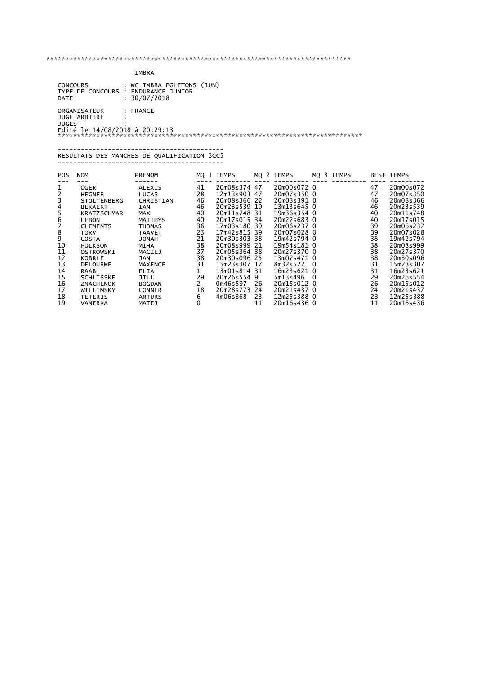IMBRA

| <b>CONCOURS</b>                |         | : WC IMBRA EGLETONS (JUN) |
|--------------------------------|---------|---------------------------|
| TYPE DE CONCOURS               |         | : ENDURANCE JUNIOR        |
| DATE                           |         | : 30/07/2018              |
|                                |         |                           |
| ORGANISATEUR                   |         | $:$ FRANCE                |
| JUGE ARBITRE                   | $\cdot$ |                           |
| <b>JUGES</b>                   |         |                           |
| Edité le 14/08/2018 à 20:29:13 |         |                           |
|                                |         |                           |
|                                |         |                           |

 ------------------------------------------- RESULTATS DES MANCHES DE QUALIFICATION 3CC5 -------------------------------------------

| <b>POS</b> | <b>NOM</b>         | <b>PRENOM</b>                 |    | MQ 1 TEMPS   |     | MQ 2 TEMPS  |     | MQ 3 TEMPS |    | <b>BEST TEMPS</b> |
|------------|--------------------|-------------------------------|----|--------------|-----|-------------|-----|------------|----|-------------------|
|            |                    |                               | 41 | 20m08s374 47 |     | 20m00s072 0 |     |            | 47 | 20m00s072         |
| ⊥          | <b>OGER</b>        | <b>ALEXIS</b><br><b>LUCAS</b> | 28 | 12m13s903    | -47 | 20m07s350 0 |     |            | 47 | 20m07s350         |
|            | <b>HEGNER</b>      | CHRISTIAN                     | 46 | 20m08s366 22 |     | 20m03s391 0 |     |            | 46 | 20m08s366         |
|            | <b>STOLTENBERG</b> |                               |    |              |     |             |     |            |    |                   |
|            | <b>BEKAERT</b>     | <b>IAN</b>                    | 46 | 20m23s539    | 19  | 13m13s645 0 |     |            | 46 | 20m23s539         |
|            | <b>KRATZSCHMAR</b> | <b>MAX</b>                    | 40 | 20m11s748    | -31 | 19m36s354 0 |     |            | 40 | 20m11s748         |
|            | LEBON              | <b>MATTHYS</b>                | 40 | 20m17s015 34 |     | 20m22s683 0 |     |            | 40 | 20m17s015         |
|            | <b>CLEMENTS</b>    | <b>THOMAS</b>                 | 36 | 17m03s180    | 39  | 20m06s237 0 |     |            | 39 | 20m06s237         |
| 8          | TORV               | <b>TAAVET</b>                 | 23 | 17m42s815    | 39  | 20m07s028 0 |     |            | 39 | 20m07s028         |
| 9          | <b>COSTA</b>       | <b>JONAH</b>                  | 21 | 20m30s303    | -38 | 19m42s794 0 |     |            | 38 | 19m42s794         |
| 10         | <b>FOLKSON</b>     | <b>MIHA</b>                   | 38 | 20m08s999    | 21  | 19m54s181 0 |     |            | 38 | 20m08s999         |
| 11         | OSTROWSKI          | MACIEJ                        | 37 | 20m05s364    | -38 | 20m27s370 0 |     |            | 38 | 20m27s370         |
| 12         | KOBRLE             | <b>JAN</b>                    | 38 | 20m30s096    | 25  | 13m07s471 0 |     |            | 38 | 20m30s096         |
| 13         | <b>DELOURME</b>    | <b>MAXENCE</b>                | 31 | 15m23s307 17 |     | 8m32s522    | - 0 |            | 31 | 15m23s307         |
| 14         | RAAB               | ELIA                          |    | 13m01s814    | -31 | 16m23s621 0 |     |            | 31 | 16m23s621         |
| 15         | <b>SCHLISSKE</b>   | JILL                          | 29 | 20m26s554    | 9   | 5m13s496    | - 0 |            | 29 | 20m26s554         |
| 16         | <b>ZNACHENOK</b>   | <b>BOGDAN</b>                 |    | 0m46s597     | 26  | 20m15s012 0 |     |            | 26 | 20m15s012         |
| 17         | WILLIMSKY          | <b>CONNER</b>                 | 18 | 20m28s773    | 24  | 20m21s437 0 |     |            | 24 | 20m21s437         |
| 18         | <b>TETERIS</b>     | <b>ARTURS</b>                 | 6  | 4m06s868     | 23  | 12m25s388 0 |     |            | 23 | 12m25s388         |
| 19         | VANERKA            | MATEJ                         | 0  |              | 11  | 20m16s436 0 |     |            | 11 | 20m16s436         |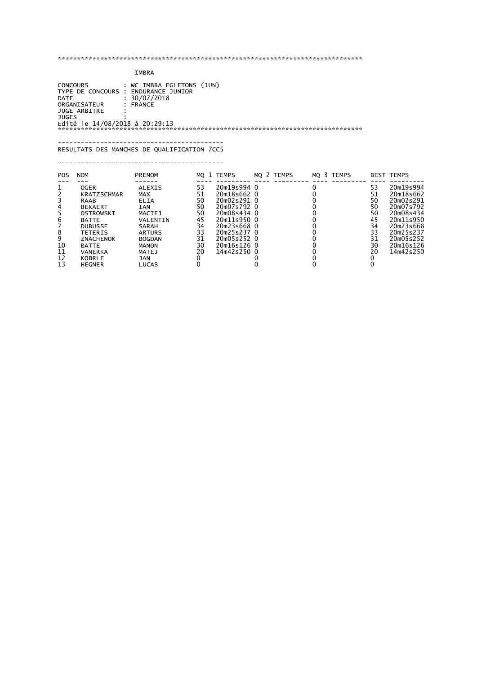## IMBRA

 CONCOURS : WC IMBRA EGLETONS (JUN) TYPE DE CONCOURS : ENDURANCE JUNIOR DATE : 30/07/2018 ORGANISATEUR : FRANCE JUGE ARBITRE : JUGES : Edité le 14/08/2018 à 20:29:13 \*\*\*\*\*\*\*\*\*\*\*\*\*\*\*\*\*\*\*\*\*\*\*\*\*\*\*\*\*\*\*\*\*\*\*\*\*\*\*\*\*\*\*\*\*\*\*\*\*\*\*\*\*\*\*\*\*\*\*\*\*\*\*\*\*\*\*\*\*\*\*\*\*\*\*\*\*\*\*

## ------------------------------------------- RESULTATS DES MANCHES DE QUALIFICATION 7CC5 -------------------------------------------

| <b>POS</b>           | <b>NOM</b>                                                                                                                                                                                                           | <b>PRENOM</b>                                                                                                                                                                           |                                                                | MO 1 TEMPS                                                                                                                                                        | MO 2 TEMPS | MO 3 TEMPS |                                                                | <b>BEST TEMPS</b>                                                                                                                           |
|----------------------|----------------------------------------------------------------------------------------------------------------------------------------------------------------------------------------------------------------------|-----------------------------------------------------------------------------------------------------------------------------------------------------------------------------------------|----------------------------------------------------------------|-------------------------------------------------------------------------------------------------------------------------------------------------------------------|------------|------------|----------------------------------------------------------------|---------------------------------------------------------------------------------------------------------------------------------------------|
| 10<br>11<br>12<br>13 | <b>OGER</b><br><b>KRATZSCHMAR</b><br><b>RAAB</b><br><b>BEKAERT</b><br>OSTROWSKI<br><b>BATTE</b><br><b>DUBUSSE</b><br><b>TETERIS</b><br><b>ZNACHENOK</b><br><b>BATTE</b><br><b>VANERKA</b><br>KOBRLE<br><b>HEGNER</b> | <b>ALEXIS</b><br><b>MAX</b><br><b>ELIA</b><br><b>IAN</b><br>MACIEJ<br>VALENTIN<br>SARAH<br><b>ARTURS</b><br><b>BOGDAN</b><br><b>MANON</b><br><b>MATEJ</b><br><b>JAN</b><br><b>LUCAS</b> | 53<br>51<br>50<br>50<br>50<br>45<br>34<br>33<br>31<br>30<br>20 | 20m19s994 0<br>20m18s662 0<br>20m02s291 0<br>20m07s792 0<br>20m08s434 0<br>20m11s950 0<br>20m23s668 0<br>20m25s237 0<br>20m05s252 0<br>20m16s126 0<br>14m42s250 0 |            |            | 53<br>51<br>50<br>50<br>50<br>45<br>34<br>33<br>31<br>30<br>20 | 20m19s994<br>20m18s662<br>20m02s291<br>20m07s792<br>20m08s434<br>20m11s950<br>20m23s668<br>20m25s237<br>20m05s252<br>20m16s126<br>14m42s250 |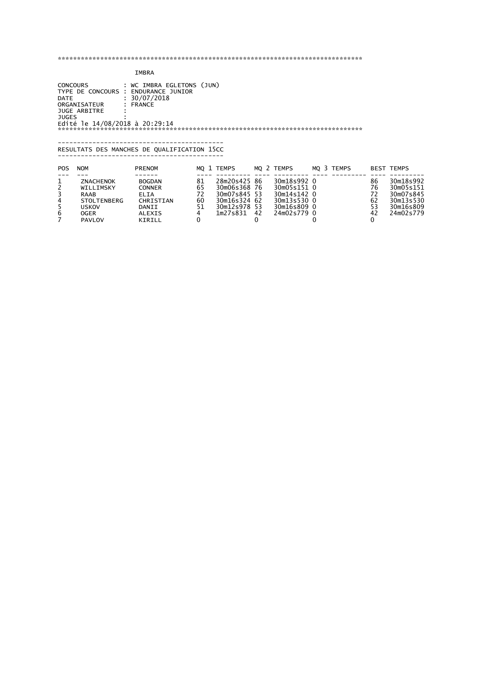IMBRA

 CONCOURS : WC IMBRA EGLETONS (JUN) TYPE DE CONCOURS : ENDURANCE JUNIOR DATE : 30/07/2018 ORGANISATEUR : FRANCE JUGE ARBITRE : JUGES : Edité le 14/08/2018 à 20:29:14 \*\*\*\*\*\*\*\*\*\*\*\*\*\*\*\*\*\*\*\*\*\*\*\*\*\*\*\*\*\*\*\*\*\*\*\*\*\*\*\*\*\*\*\*\*\*\*\*\*\*\*\*\*\*\*\*\*\*\*\*\*\*\*\*\*\*\*\*\*\*\*\*\*\*\*\*\*\*\*

#### ------------------------------------------- RESULTATS DES MANCHES DE QUALIFICATION 15CC -------------------------------------------

| POS | <b>NOM</b>                                                                                    | <b>PRENOM</b>                                                                           |                            | MO 1 TEMPS                                                                               |    | MO 2 TEMPS                                                                             | MO 3 TEMPS |                                  | <b>BEST TEMPS</b>                                                          |
|-----|-----------------------------------------------------------------------------------------------|-----------------------------------------------------------------------------------------|----------------------------|------------------------------------------------------------------------------------------|----|----------------------------------------------------------------------------------------|------------|----------------------------------|----------------------------------------------------------------------------|
|     | ZNACHENOK<br>WILLIMSKY<br><b>RAAB</b><br><b>STOLTENBERG</b><br><b>USKOV</b><br>OGER<br>PAVLOV | <b>BOGDAN</b><br><b>CONNER</b><br>ELIA<br>CHRISTIAN<br>DANII<br><b>ALEXIS</b><br>KIRILL | 81<br>65<br>72<br>60<br>51 | 28m20s425 86<br>30m06s368 76<br>30m07s845 53<br>30m16s324 62<br>30m12s978 53<br>1m27s831 | 42 | 30m18s992 0<br>30m05s151 0<br>30m14s142 0<br>30m13s530 0<br>30m16s809 0<br>24m02s779 0 |            | 86<br>76<br>72<br>62<br>53<br>42 | 30m18s992<br>30m05s151<br>30m07s845<br>30m13s530<br>30m16s809<br>24m02s779 |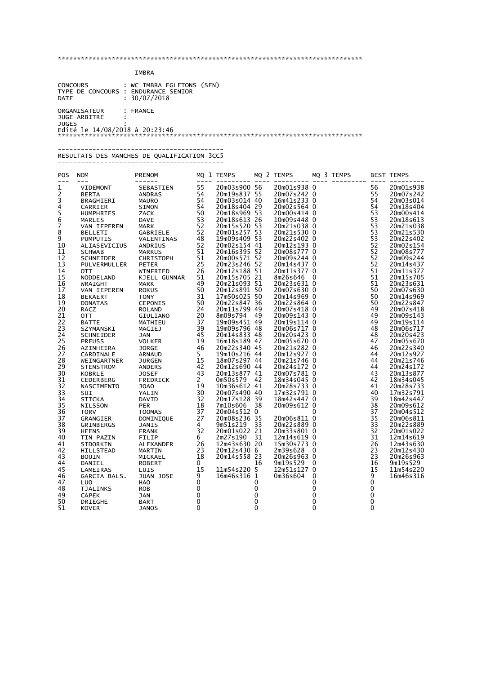IMBRA

| CONCOURS                                                                       | : WC IMBRA EGLETONS (SEN) |
|--------------------------------------------------------------------------------|---------------------------|
| TYPE DE CONCOURS                                                               | : ENDURANCE SENIOR        |
| <b>DATE</b>                                                                    | : 30/07/2018              |
| ORGANISATEUR<br>JUGE ARBITRE<br><b>JUGES</b><br>Edité le 14/08/2018 à 20:23:46 | $:$ FRANCE                |

#### ------------------------------------------- RESULTATS DES MANCHES DE QUALIFICATION 3CC5

-------------------------------------------

| POS<br>$---$   | <b>NOM</b><br>$---$                                                 | PRENOM<br>$- - - - - -$<br>NOM PRENOMINAL SEBATENT (MARK APPROVIDED AN ANNOUND SERVIDENT CORRECTED TO MAKE SANTIFIES SACK AND BARNIFIES SACK SSACK SO SARRIELE TO MAKE SERVIDE GARDINING SERVIDENT (SARRIELE SACK SAND ALLOWING STRESS ON MARKIS SCHIMAGE |  |             | MQ 1 TEMPS MQ 2 TEMPS MQ 3 TEMPS |             |  |           | <b>BEST TEMPS</b>      |
|----------------|---------------------------------------------------------------------|-----------------------------------------------------------------------------------------------------------------------------------------------------------------------------------------------------------------------------------------------------------|--|-------------|----------------------------------|-------------|--|-----------|------------------------|
| 1              |                                                                     |                                                                                                                                                                                                                                                           |  |             |                                  |             |  |           | 20m01s938              |
|                |                                                                     |                                                                                                                                                                                                                                                           |  |             |                                  |             |  |           | 20m07s242              |
| $\frac{2}{3}$  |                                                                     |                                                                                                                                                                                                                                                           |  |             |                                  |             |  |           | 20m03s014              |
| $\overline{4}$ |                                                                     |                                                                                                                                                                                                                                                           |  |             |                                  |             |  |           | 20m18s404              |
|                |                                                                     |                                                                                                                                                                                                                                                           |  |             |                                  |             |  |           | 20m00s414              |
|                |                                                                     |                                                                                                                                                                                                                                                           |  |             |                                  |             |  |           | 20m18s613              |
| 5<br>6<br>7    |                                                                     |                                                                                                                                                                                                                                                           |  |             |                                  |             |  |           | 20m21s038              |
|                |                                                                     |                                                                                                                                                                                                                                                           |  |             |                                  |             |  |           | 20m21s530              |
| 8<br>9         |                                                                     |                                                                                                                                                                                                                                                           |  |             |                                  |             |  |           | 20m22s402              |
| 10             |                                                                     |                                                                                                                                                                                                                                                           |  |             |                                  |             |  |           | 20m02s154              |
| 11             |                                                                     |                                                                                                                                                                                                                                                           |  |             |                                  |             |  |           | 20m08s777              |
| 12             |                                                                     |                                                                                                                                                                                                                                                           |  |             |                                  |             |  |           | 20m09s244              |
| 13             |                                                                     |                                                                                                                                                                                                                                                           |  |             |                                  |             |  |           | 20m14s437              |
| 14             |                                                                     |                                                                                                                                                                                                                                                           |  |             |                                  |             |  |           | 20m11s377              |
| 15             |                                                                     |                                                                                                                                                                                                                                                           |  |             |                                  |             |  |           | 20m15s705              |
| 16             |                                                                     |                                                                                                                                                                                                                                                           |  |             |                                  |             |  |           | 20m23s631              |
| 17             |                                                                     |                                                                                                                                                                                                                                                           |  |             |                                  |             |  |           | 20m07s630              |
|                |                                                                     |                                                                                                                                                                                                                                                           |  |             |                                  |             |  |           |                        |
| 18<br>19       |                                                                     |                                                                                                                                                                                                                                                           |  |             |                                  |             |  |           | 20m14s969<br>20m22s847 |
| 20             |                                                                     |                                                                                                                                                                                                                                                           |  |             |                                  |             |  |           | 20m07s418              |
|                |                                                                     |                                                                                                                                                                                                                                                           |  |             |                                  |             |  |           |                        |
| 21<br>22       |                                                                     |                                                                                                                                                                                                                                                           |  |             |                                  |             |  |           | 20m09s143<br>20m19s114 |
|                |                                                                     |                                                                                                                                                                                                                                                           |  |             |                                  |             |  |           |                        |
| 23             |                                                                     |                                                                                                                                                                                                                                                           |  |             |                                  |             |  |           | 20m06s717              |
| 24             |                                                                     |                                                                                                                                                                                                                                                           |  |             |                                  |             |  |           | 20m20s423              |
| 25             |                                                                     |                                                                                                                                                                                                                                                           |  |             |                                  |             |  |           | 20m05s670              |
| 26             |                                                                     |                                                                                                                                                                                                                                                           |  |             |                                  |             |  |           | 20m22s340              |
| 27             |                                                                     |                                                                                                                                                                                                                                                           |  |             |                                  |             |  |           | 20m12s927              |
| 28             |                                                                     |                                                                                                                                                                                                                                                           |  |             |                                  |             |  |           | 20m21s746              |
| 29             |                                                                     |                                                                                                                                                                                                                                                           |  |             |                                  |             |  |           | 20m24s172              |
| 30             |                                                                     |                                                                                                                                                                                                                                                           |  |             |                                  |             |  |           | 20m13s877              |
| 31             |                                                                     |                                                                                                                                                                                                                                                           |  |             |                                  |             |  |           | 18m34s045              |
| 32             |                                                                     |                                                                                                                                                                                                                                                           |  |             |                                  |             |  |           | 20m28s733              |
| 33             |                                                                     |                                                                                                                                                                                                                                                           |  |             |                                  |             |  |           | 17m32s791              |
| 34             |                                                                     |                                                                                                                                                                                                                                                           |  |             |                                  |             |  |           | 18m42s447              |
| 35             |                                                                     |                                                                                                                                                                                                                                                           |  |             |                                  |             |  |           | 20m09s612              |
| 36             |                                                                     |                                                                                                                                                                                                                                                           |  |             |                                  |             |  |           | 20m04s512              |
| 37             |                                                                     |                                                                                                                                                                                                                                                           |  |             |                                  |             |  |           | 20m06s811              |
| 38             |                                                                     |                                                                                                                                                                                                                                                           |  |             |                                  |             |  |           | 20m22s889              |
| 39             |                                                                     |                                                                                                                                                                                                                                                           |  |             |                                  |             |  |           | 20m01s022              |
| 40             |                                                                     |                                                                                                                                                                                                                                                           |  |             |                                  |             |  |           | 12m14s619              |
| 41             |                                                                     |                                                                                                                                                                                                                                                           |  |             |                                  |             |  |           | 12m43s630              |
| 42             |                                                                     |                                                                                                                                                                                                                                                           |  |             |                                  |             |  |           | 20m12s430              |
| 43             |                                                                     |                                                                                                                                                                                                                                                           |  |             |                                  |             |  |           | 20m26s963              |
| 44             |                                                                     |                                                                                                                                                                                                                                                           |  |             |                                  |             |  |           | 9m19s529               |
| 45             |                                                                     |                                                                                                                                                                                                                                                           |  |             |                                  |             |  |           | 11m54s220              |
| 46             |                                                                     |                                                                                                                                                                                                                                                           |  |             |                                  |             |  |           | 16m46s316              |
| 47             |                                                                     |                                                                                                                                                                                                                                                           |  |             |                                  |             |  |           |                        |
| 48             |                                                                     |                                                                                                                                                                                                                                                           |  | 0           |                                  | 0           |  | 0         |                        |
| 49             |                                                                     |                                                                                                                                                                                                                                                           |  | 0           |                                  | 0           |  | $\pmb{0}$ |                        |
| 50             |                                                                     |                                                                                                                                                                                                                                                           |  | $\mathbf 0$ |                                  | 0           |  | 0         |                        |
| 51             | <b>1UA</b><br>HAO<br>CAPEK ROB<br>CAPEK JAN<br>ORIEGHE BART<br>OVER | <b>JANOS</b>                                                                                                                                                                                                                                              |  | $\mathbf 0$ |                                  | $\mathbf 0$ |  | 0         |                        |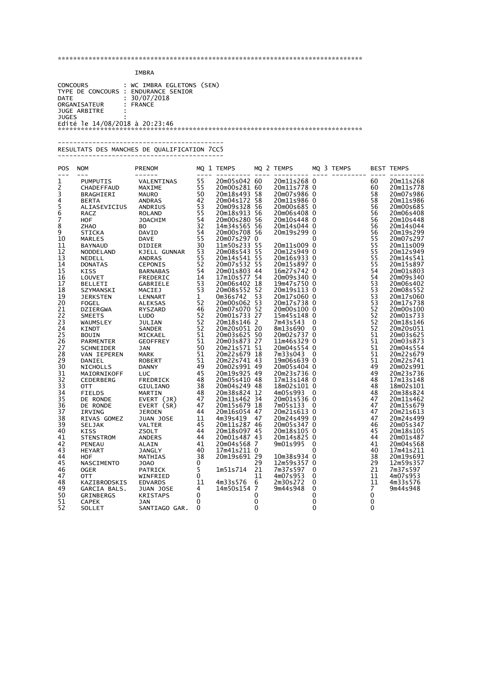### IMBRA

 CONCOURS : WC IMBRA EGLETONS (SEN) TYPE DE CONCOURS : ENDURANCE SENIOR DATE : 30/07/2018 ORGANISATEUR : FRANCE JUGE ARBITRE : JUGES : Edité le 14/08/2018 à 20:23:46 \*\*\*\*\*\*\*\*\*\*\*\*\*\*\*\*\*\*\*\*\*\*\*\*\*\*\*\*\*\*\*\*\*\*\*\*\*\*\*\*\*\*\*\*\*\*\*\*\*\*\*\*\*\*\*\*\*\*\*\*\*\*\*\*\*\*\*\*\*\*\*\*\*\*\*\*\*\*\*

\*\*\*\*\*\*\*\*\*\*\*\*\*\*\*\*\*\*\*\*\*\*\*\*\*\*\*\*\*\*\*\*\*\*\*\*\*\*\*\*\*\*\*\*\*\*\*\*\*\*\*\*\*\*\*\*\*\*\*\*\*\*\*\*\*\*\*\*\*\*\*\*\*\*\*\*\*\*\*

#### ------------------------------------------- RESULTATS DES MANCHES DE QUALIFICATION 7CC5 -------------------------------------------

| POS<br>$---$   | <b>NOM</b><br>$---$         | <b>PRENOM</b><br>------      |              | MQ 1 TEMPS                   |    | MQ 2 TEMPS                 |              | MQ 3 TEMPS |                | <b>BEST TEMPS</b>      |
|----------------|-----------------------------|------------------------------|--------------|------------------------------|----|----------------------------|--------------|------------|----------------|------------------------|
| 1              | <b>PUMPUTIS</b>             | VALENTINAS                   | 55           | 20m05s042 60                 |    | 20m11s268 0                |              |            | 60             | 20m11s268              |
| 2              | CHADEFFAUD                  | MAXIME                       | 55           | 20m00s281 60                 |    | 20m11s778 0                |              |            | 60             | 20m11s778              |
| 3              | BRAGHIERI                   | <b>MAURO</b>                 | 50           | 20m18s493 58                 |    | 20m07s986 0                |              |            | 58             | 20m07s986              |
| $\overline{4}$ | <b>BERTA</b>                | <b>ANDRAS</b>                | 42           | 20m04s172 58                 |    | 20m11s986 0                |              |            | 58             | 20m11s986              |
| 5<br>6         | ALIASEVICIUS                | ANDRIUS                      | 53           | 20m09s328 56                 |    | 20m00s685 0                |              |            | 56             | 20m00s685              |
|                | RACZ                        | <b>ROLAND</b>                | 55           | 20m18s913 56                 |    | 20m06s408 0                |              |            | 56             | 20m06s408              |
| 7              | HOF                         | <b>JOACHIM</b>               | 54           | 20m00s280 56                 |    | 20m10s448 0                |              |            | 56             | 20m10s448              |
| 8              | <b>ZHAO</b>                 | BO.                          | 32           | 14m34s565 56                 |    | 20m14s044 0                |              |            | 56             | 20m14s044              |
| 9<br>10        | <b>STICKA</b>               | DAVID                        | 54<br>55     | 20m00s708 56<br>20m07s297 0  |    | 20m19s299 0                | $\mathbf{0}$ |            | 56<br>55       | 20m19s299<br>20m07s297 |
| 11             | <b>MARLES</b>               | <b>DAVE</b><br><b>DIDIER</b> | 30           | 11m50s233 55                 |    | 20m11s009 0                |              |            | 55             | 20m11s009              |
| 12             | <b>BAYNAUD</b><br>NODDELAND | KJELL GUNNAR                 | 53           | 20m08s543 55                 |    | 20m12s949 0                |              |            | 55             | 20m12s949              |
| 13             | NEDELL                      | <b>ANDRAS</b>                | 55           | 20m14s541 55                 |    | 20m16s933 0                |              |            | 55             | 20m14s541              |
| 14             | <b>DONATAS</b>              | CEPONIS                      | 52           | 20m07s532 55                 |    | 20m15s897 0                |              |            | 55             | 20m15s897              |
| 15             | <b>KISS</b>                 | <b>BARNABAS</b>              | 54           | 20m01s803 44                 |    | 16m27s742 0                |              |            | 54             | 20m01s803              |
| 16             | LOUVET                      | FREDERIC                     | 14           | 17m10s577 54                 |    | 20m09s340 0                |              |            | 54             | 20m09s340              |
| 17             | <b>BELLETI</b>              | GABRIELE                     | 53           | 20m06s402 18                 |    | 19m47s750 0                |              |            | 53             | 20m06s402              |
| 18             | SZYMANSKI                   | MACIEJ                       | 53           | 20m08s552 52                 |    | 20m19s113 0                |              |            | 53             | 20m08s552              |
| 19             | <b>JERKSTEN</b>             | LENNART                      | $\mathbf{1}$ | 0m36s742                     | 53 | 20m17s060 0                |              |            | 53             | 20m17s060              |
| 20             | <b>FOGEL</b>                | ALEKSAS                      | 52           | 20m00s062 53                 |    | 20m17s738 0                |              |            | 53             | 20m17s738              |
| 21             | <b>DZIERGWA</b>             | RYSZARD                      | 46           | 20m07s070 52                 |    | 20m00s100 0                |              |            | 52             | 20m00s100              |
| 22             | <b>SMEETS</b>               | <b>LUDO</b>                  | 52           | 20m01s733 27                 |    | 15m45s148 0                |              |            | 52             | 20m01s733              |
| 23             | WAUMSLEY                    | <b>JULIAN</b>                | 52           | 20m18s146 2                  |    | 7m43s543                   | 0            |            | 52             | 20m18s146              |
| 24             | <b>KINDT</b>                | SANDER                       | 52           | 20m20s051 20                 |    | 8m13s690                   | - 0          |            | 52             | 20m20s051              |
| 25             | <b>BOUIN</b>                | MICKAEL                      | 51<br>51     | 20m03s625 50<br>20m03s873 27 |    | 20m02s737 0<br>11m46s329 0 |              |            | 51<br>51       | 20m03s625<br>20m03s873 |
| 26<br>27       | <b>PARMENTER</b>            | <b>GEOFFREY</b>              | 50           | 20m21s571 51                 |    | 20m04s554 0                |              |            | 51             | 20m04s554              |
| 28             | SCHNEIDER<br>VAN IEPEREN    | JAN<br><b>MARK</b>           | 51           | 20m22s679 18                 |    | 7m33s043                   | $\mathbf{0}$ |            | 51             | 20m22s679              |
| 29             | DANIEL                      | <b>ROBERT</b>                | 51           | 20m22s741 43                 |    | 19m06s639 0                |              |            | 51             | 20m22s741              |
| 30             | <b>NICHOLLS</b>             | <b>DANNY</b>                 | 49           | 20m02s991 49                 |    | 20m05s404 0                |              |            | 49             | 20m02s991              |
| 31             | MAIORNIKOFF                 | LUC                          | 45           | 20m19s925 49                 |    | 20m23s736 0                |              |            | 49             | 20m23s736              |
| 32             | <b>CEDERBERG</b>            | FREDRICK                     | 48           | 20m05s410 48                 |    | 17m13s148 0                |              |            | 48             | 17m13s148              |
| 33             | OTT                         | GIULIANO                     | 38           | 20m04s249 48                 |    | 18m02s101 0                |              |            | 48             | 18m02s101              |
| 34             | <b>FIELDS</b>               | <b>MARTIN</b>                | 48           | 20m38s824 12                 |    | 4m05s993                   | $\mathbf{0}$ |            | 48             | 20m38s824              |
| 35             | DE RONDE                    | EVERT (JR)                   | 47           | 20m11s462 34                 |    | 20m01s536 0                |              |            | 47             | 20m11s462              |
| 36             | DE RONDE                    | EVERT (SR)                   | 47           | 20m15s679 18                 |    | 7m05s133 0                 |              |            | 47             | 20m15s679              |
| 37             | IRVING                      | <b>JEROEN</b>                | 44           | 20m16s054 47                 |    | 20m21s613 0                |              |            | 47             | 20m21s613              |
| 38             | RIVAS GOMEZ                 | JUAN JOSE                    | 11           | 4m39s419                     | 47 | 20m24s499 0                |              |            | 47             | 20m24s499              |
| 39             | SELJAK                      | <b>VALTER</b>                | 45           | 20m11s287 46                 |    | 20m05s347 0                |              |            | 46             | 20m05s347              |
| 40             | <b>KISS</b>                 | ZSOLT                        | 44           | 20m18s097 45                 |    | 20m18s105 0                |              |            | 45             | 20m18s105              |
| 41<br>42       | <b>STENSTROM</b>            | <b>ANDERS</b>                | 44<br>41     | 20m01s487 43<br>20m04s568 7  |    | 20m14s825 0<br>9m01s995    | 0            |            | 44<br>41       | 20m01s487<br>20m04s568 |
| 43             | PENEAU<br><b>HEYART</b>     | ALAIN<br>JANGLY              | 40           | 17m41s211 0                  |    |                            | 0            |            | 40             | 17m41s211              |
| 44             | <b>HOF</b>                  | <b>MATHIAS</b>               | 38           | 20m19s691 29                 |    | 10m38s934 0                |              |            | 38             | 20m19s691              |
| 45             | NASCIMENTO                  | JOAO                         | 0            |                              | 29 | 12m59s357 0                |              |            | 29             | 12m59s357              |
| 46             | <b>OGER</b>                 | PATRICK                      | 5            | 1m51s714                     | 21 | 7m37s597                   | 0            |            | 21             | 7m37s597               |
| 47             | 0TT                         | WINFRIED                     | 0            |                              | 11 | 4m07s953                   | 0            |            | 11             | 4m07s953               |
| 48             | KAZIBRODSKIS                | <b>EDVARDS</b>               | 11           | 4m33s576                     | 6  | 2m30s272                   | 0            |            | 11             | 4m33s576               |
| 49             | GARCIA BALS.                | JUAN JOSE                    | 4            | 14m50s154 7                  |    | 9m44s948                   | $\mathbf 0$  |            | $\overline{7}$ | 9m44s948               |
| 50             | GRINBERGS                   | <b>KRISTAPS</b>              | $\mathbf{0}$ |                              | 0  |                            | 0            |            | 0              |                        |
| 51             | <b>CAPEK</b>                | <b>JAN</b>                   | 0            |                              | 0  |                            | 0            |            | 0              |                        |
| 52             | <b>SOLLET</b>               | SANTIAGO GAR.                | $\mathbf 0$  |                              | 0  |                            | 0            |            | 0              |                        |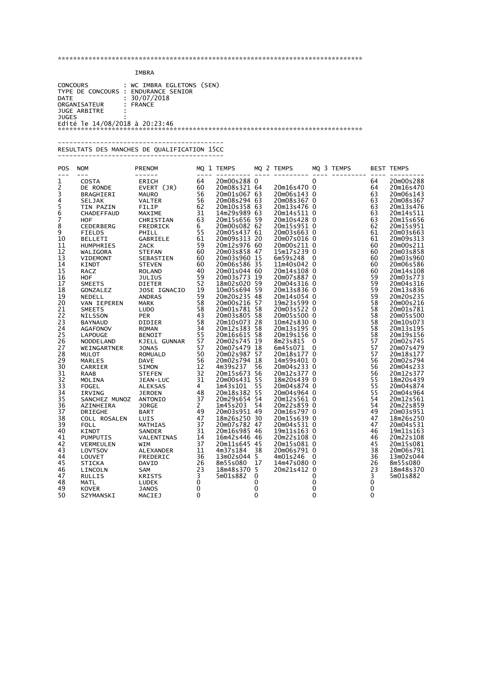### IMBRA

 CONCOURS : WC IMBRA EGLETONS (SEN) TYPE DE CONCOURS : ENDURANCE SENIOR DATE : 30/07/2018 ORGANISATEUR : FRANCE JUGE ARBITRE : JUGES : Edité le 14/08/2018 à 20:23:46 \*\*\*\*\*\*\*\*\*\*\*\*\*\*\*\*\*\*\*\*\*\*\*\*\*\*\*\*\*\*\*\*\*\*\*\*\*\*\*\*\*\*\*\*\*\*\*\*\*\*\*\*\*\*\*\*\*\*\*\*\*\*\*\*\*\*\*\*\*\*\*\*\*\*\*\*\*\*\*

\*\*\*\*\*\*\*\*\*\*\*\*\*\*\*\*\*\*\*\*\*\*\*\*\*\*\*\*\*\*\*\*\*\*\*\*\*\*\*\*\*\*\*\*\*\*\*\*\*\*\*\*\*\*\*\*\*\*\*\*\*\*\*\*\*\*\*\*\*\*\*\*\*\*\*\*\*\*\*

#### ------------------------------------------- RESULTATS DES MANCHES DE QUALIFICATION 15CC

-------------------------------------------

| MQ 1 TEMPS<br>MQ 2 TEMPS<br>POS<br><b>PRENOM</b><br><b>NOM</b><br>$---$                                               | MQ 3 TEMPS<br><b>BEST TEMPS</b>    |
|-----------------------------------------------------------------------------------------------------------------------|------------------------------------|
| 20m00s288 0<br>1<br>64<br>0<br><b>COSTA</b><br>ERICH                                                                  | 20m00s288<br>64                    |
| $\frac{2}{3}$<br>60<br>20m08s321 64<br>20m16s470 0<br>EVERT (JR)<br>DE RONDE                                          | 64<br>20m16s470                    |
| 20m01s067 63<br>20m06s143 0<br>56<br><b>MAURO</b><br>BRAGHIERI                                                        | 63<br>20m06s143                    |
| 4<br>20m08s367 0<br>56<br>20m08s294 63<br><b>VALTER</b><br><b>SELJAK</b>                                              | 20m08s367<br>63                    |
| 5<br>62<br>20m10s358 63<br>20m13s476 0<br>TIN PAZIN<br>FILIP                                                          | 63<br>20m13s476                    |
| 6<br>31<br>20m14s511 0<br>14m29s989 63<br>MAXIME<br>CHADEFFAUD                                                        | 63<br>20m14s511                    |
| 7<br>20m15s656 59<br>63<br>20m10s428 0<br><b>HOF</b><br>CHRISTIAN                                                     | 63<br>20m15s656                    |
| 8<br>20m15s951 0<br>20m00s082 62<br>CEDERBERG<br>FREDRICK<br>6                                                        | 62<br>20m15s951                    |
| 9<br>55<br>20m05s437 61<br>20m03s663 0<br><b>FIELDS</b><br>PHILL                                                      | 61<br>20m03s663                    |
| 20m09s313 20<br>20m07s016 0<br>10<br>61<br><b>BELLETI</b><br>GABRIELE                                                 | 20m09s313<br>61                    |
| 20m12s976 60<br>20m00s211 0<br>59<br>11<br>ZACK<br><b>HUMPHRIES</b>                                                   | 20m00s211<br>60                    |
| 12<br>20m03s858 47<br>15m17s239 0<br>60<br><b>STEFAN</b><br>WALIGORA                                                  | 60<br>20m03s858                    |
| 13<br>60<br>20m03s960 15<br>6m59s248 0<br>SEBASTIEN<br><b>VIDEMONT</b>                                                | 60<br>20m03s960                    |
| 14<br>20m06s586 35<br>11m40s042 0<br><b>STEVEN</b><br>60<br><b>KINDT</b><br>15<br>20m14s108 0                         | 60<br>20m06s586                    |
| 40<br>20m01s044 60<br>RACZ<br><b>ROLAND</b><br>16<br>59<br>20m03s773 19<br>20m07s887 0<br><b>JULIUS</b><br><b>HOF</b> | 60<br>20m14s108<br>59<br>20m03s773 |
| 52<br>17<br>18m02s020 59<br>20m04s316 0<br><b>DIETER</b><br><b>SMEETS</b>                                             | 59<br>20m04s316                    |
| 20m13s836 0<br>18<br>19<br>10m05s694 59<br>JOSE IGNACIO<br>GONZALEZ                                                   | 59<br>20m13s836                    |
| 19<br>59<br>20m20s235 48<br>20m14s054 0<br><b>ANDRAS</b><br>NEDELL                                                    | 59<br>20m20s235                    |
| 20<br>58<br>20m00s216 57<br>19m23s599 0<br>VAN IEPEREN<br><b>MARK</b>                                                 | 58<br>20m00s216                    |
| 58<br>20m01s781 58<br>21<br>20m03s522 0<br><b>SMEETS</b><br><b>LUDO</b>                                               | 58<br>20m01s781                    |
| 43<br>20m05s500 0<br>22<br>20m03s805 58<br><b>NILSSON</b><br><b>PER</b>                                               | 58<br>20m05s500                    |
| 23<br>58<br>20m10s073 28<br>10m42s830 0<br><b>DIDIER</b><br><b>BAYNAUD</b>                                            | 58<br>20m10s073                    |
| 24<br>20m12s383 58<br>34<br>20m13s195 0<br><b>AGAFONOV</b><br><b>ROMAN</b>                                            | 58<br>20m13s195                    |
| 55<br>20m16s615 58<br>20m19s156 0<br>25<br><b>BENOIT</b><br><b>LAPOUGE</b>                                            | 58<br>20m19s156                    |
| 26<br>57<br>20m02s745 19<br>8m23s815 0<br>KJELL GUNNAR<br>NODDELAND                                                   | 57<br>20m02s745                    |
| 57<br>20m07s479 18<br>6m45s071 0<br>27<br><b>JONAS</b><br>WEINGARTNER                                                 | 57<br>20m07s479                    |
| 28<br>50<br>20m02s987 57<br>20m18s177 0<br><b>MULOT</b><br><b>ROMUALD</b>                                             | 57<br>20m18s177                    |
| 29<br>20m02s794 18<br>14m59s401 0<br>56<br><b>DAVE</b><br>MARLES                                                      | 56<br>20m02s794                    |
| 30<br>12<br>4m39s237<br>20m04s233 0<br>SIMON<br>56<br>CARRIER                                                         | 20m04s233<br>56                    |
| 32<br>20m15s673 56<br>31<br>20m12s377 0<br><b>RAAB</b><br><b>STEFEN</b>                                               | 56<br>20m12s377                    |
| 31<br>32<br>20m00s431 55<br>18m20s439 0<br>JEAN-LUC<br>MOLINA                                                         | 55<br>18m20s439                    |
| 33<br>1m43s101<br><b>ALEKSAS</b><br>$\overline{4}$<br>55<br>20m04s874 0<br>FOGEL                                      | 55<br>20m04s874                    |
| 20m18s382 55<br>34<br>48<br>20m04s964 0<br>IRVING<br><b>JEROEN</b>                                                    | 55<br>20m04s964                    |
| 35<br>37<br>20m29s654 54<br>20m12s561 0<br>SANCHEZ MUNOZ<br>ANTONIO                                                   | 54<br>20m12s561                    |
| 36<br>$\mathbf{2}$<br>1m45s203<br>54<br>20m22s859 0<br><b>JORGE</b><br>AZINHEIRA                                      | 54<br>20m22s859                    |
| 20m03s951 49<br>49<br>20m16s797 0<br>37<br><b>BART</b><br><b>DRIEGHE</b>                                              | 49<br>20m03s951                    |
| 38<br>18m26s250 30<br>20m15s639 0<br>47<br>LUIS<br>COLL ROSALEN                                                       | 47<br>18m26s250                    |
| 39<br>37<br>20m07s782 47<br>20m04s531 0<br><b>FOLL</b><br><b>MATHIAS</b>                                              | 47<br>20m04s531                    |
| 31<br>40<br>20m16s985 46<br>19m11s163 0<br><b>KINDT</b><br>SANDER                                                     | 46<br>19m11s163                    |
| 20m22s108 0<br>41<br>16m42s446 46<br>VALENTINAS<br>14<br>PUMPUTIS<br>37                                               | 46<br>20m22s108<br>45              |
| 42<br>20m11s645 45<br>20m15s081 0<br><b>WIM</b><br>VERMEULEN                                                          | 20m15s081                          |
| 11<br>20m06s791 0<br>43<br>4m37s184<br>38<br>LOVTSOV<br>ALEXANDER<br>13m02s044 5<br>44<br>36<br>4m01s246 0            | 38<br>20m06s791<br>13m02s044<br>36 |
| LOUVET<br>FREDERIC<br>8m55s080<br>17<br>45<br>26<br>14m47s080 0<br><b>STICKA</b><br>DAVID                             | 8m55s080<br>26                     |
| 23<br>18m48s370 5<br>20m21s412 0<br>46<br><b>SAM</b>                                                                  | 23<br>18m48s370                    |
| LINCOLN<br>$\overline{3}$<br>5m01s882<br>$\mathbf{0}$<br>0<br>47<br><b>RULLIS</b><br><b>KRISTS</b>                    | 3<br>5m01s882                      |
| 0<br>48<br>0<br>0<br>MATL<br>LUDEK                                                                                    | 0                                  |
| 0<br>49<br>0<br>0<br><b>JANOS</b><br><b>KOVER</b>                                                                     |                                    |
|                                                                                                                       | 0                                  |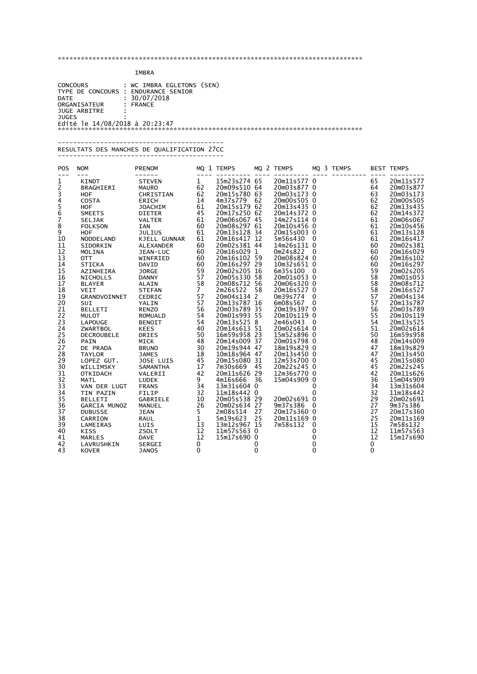### IMBRA

 CONCOURS : WC IMBRA EGLETONS (SEN) TYPE DE CONCOURS : ENDURANCE SENIOR DATE : 30/07/2018 ORGANISATEUR : FRANCE JUGE ARBITRE : JUGES : Edité le 14/08/2018 à 20:23:47 \*\*\*\*\*\*\*\*\*\*\*\*\*\*\*\*\*\*\*\*\*\*\*\*\*\*\*\*\*\*\*\*\*\*\*\*\*\*\*\*\*\*\*\*\*\*\*\*\*\*\*\*\*\*\*\*\*\*\*\*\*\*\*\*\*\*\*\*\*\*\*\*\*\*\*\*\*\*\*

\*\*\*\*\*\*\*\*\*\*\*\*\*\*\*\*\*\*\*\*\*\*\*\*\*\*\*\*\*\*\*\*\*\*\*\*\*\*\*\*\*\*\*\*\*\*\*\*\*\*\*\*\*\*\*\*\*\*\*\*\*\*\*\*\*\*\*\*\*\*\*\*\*\*\*\*\*\*\*

#### ------------------------------------------- RESULTATS DES MANCHES DE QUALIFICATION 27CC -------------------------------------------

| POS            | <b>NOM</b>          | <b>PRENOM</b>  |                      | MQ 1 TEMPS              |    | MQ 2 TEMPS                |              | MQ 3 TEMPS |              | <b>BEST TEMPS</b>      |
|----------------|---------------------|----------------|----------------------|-------------------------|----|---------------------------|--------------|------------|--------------|------------------------|
| 1              | <b>KINDT</b>        | <b>STEVEN</b>  | $\mathbf{1}$         | 15m23s274 65            |    | 20m11s577 0               |              |            | 65           | 20m11s577              |
| 2              | BRAGHIERI           | <b>MAURO</b>   | 62                   | 20m09s510 64            |    | 20m03s877 0               |              |            | 64           | 20m03s877              |
| $\overline{3}$ | HOF                 | CHRISTIAN      | 62                   | 20m15s780 63            |    | 20m03s173 0               |              |            | 63           | 20m03s173              |
| 4              | <b>COSTA</b>        | <b>ERICH</b>   | 14                   | 4m37s779                | 62 | 20m00s505 0               |              |            | 62           | 20m00s505              |
| $\frac{5}{6}$  | <b>HOF</b>          | <b>JOACHIM</b> | 61                   | 20m15s179 62            |    | 20m13s435 0               |              |            | 62           | 20m13s435              |
|                | <b>SMEETS</b>       | <b>DIETER</b>  | 45                   | 20m17s250 62            |    | 20m14s372 0               |              |            | 62           | 20m14s372              |
| Ž              | SELJAK              | <b>VALTER</b>  | 61                   | 20m06s067 45            |    | 14m27s114 0               |              |            | 61           | 20m06s067              |
| 8              | <b>FOLKSON</b>      | <b>IAN</b>     | 60                   | 20m08s297 61            |    | 20m10s456 0               |              |            | 61           | 20m10s456              |
| 9              | HOF                 | <b>JULIUS</b>  | 61                   | 20m13s128 34            |    | 20m15s003 0               |              |            | 61           | 20m13s128              |
| 10             | NODDELAND           | KJELL GUNNAR   | 61                   | 20m16s417 12            |    | 5m56s430 0                |              |            | 61           | 20m16s417              |
| 11             | SIDORKIN            | ALEXANDER      | 60                   | 20m02s381 44            |    | 14m26s131 0               |              |            | 60           | 20m02s381              |
| 12             | MOLINA              | JEAN-LUC       | 60                   | 20m16s029 1             |    | 0m24s822 0                |              |            | 60           | 20m16s029              |
| 13             | <b>OTT</b>          | WINFRIED       | 60                   | 20m16s102 59            |    | 20m08s824 0               |              |            | 60           | 20m16s102              |
| 14             | <b>STICKA</b>       | DAVID          | 60                   | 20m16s297 29            |    | 10m32s651 0               |              |            | 60           | 20m16s297              |
| 15             | AZINHEIRA           | <b>JORGE</b>   | 59                   | 20m02s205 16            |    | 6m35s100 0                |              |            | 59           | 20m02s205              |
| 16             | <b>NICHOLLS</b>     | <b>DANNY</b>   | 57                   | 20m05s330 58            |    | 20m01s053 0               |              |            | 58           | 20m01s053              |
| 17             | <b>BLAYER</b>       | ALAIN          | 58<br>$\overline{7}$ | 20m08s712 56            |    | 20m06s320 0               |              |            | 58           | 20m08s712              |
| 18             | <b>VEIT</b>         | <b>STEFAN</b>  |                      | 2m26s522<br>20m04s134 2 | 58 | 20m16s527 0<br>0m39s774 0 |              |            | 58           | 20m16s527<br>20m04s134 |
| 19<br>20       | GRANDVOINNET<br>SUI | CEDRIC         | 57<br>57             | 20m13s787 16            |    | 6m08s567                  | $\Omega$     |            | 57<br>57     | 20m13s787              |
| 21             | <b>BELLETI</b>      | YALIN<br>RENZO | 56                   | 20m03s789 35            |    | 20m19s397 0               |              |            | 56           | 20m03s789              |
| 22             | <b>MULOT</b>        | <b>ROMUALD</b> | 54                   | 20m01s993 55            |    | 20m10s119 0               |              |            | 55           | 20m10s119              |
| 23             | LAPOUGE             | <b>BENOIT</b>  | 54                   | 20m13s525 8             |    | 2m46s043 0                |              |            | 54           | 20m13s525              |
| 24             | <b>ZWARTBOL</b>     | <b>KEES</b>    | 40                   | 20m14s613 51            |    | 20m02s614 0               |              |            | 51           | 20m02s614              |
| 25             | <b>DECROUBELE</b>   | <b>DRIES</b>   | 50                   | 16m59s958 23            |    | 15m52s896 0               |              |            | 50           | 16m59s958              |
| 26             | <b>PAIN</b>         | MICK           | 48                   | 20m14s009 37            |    | 20m01s798 0               |              |            | 48           | 20m14s009              |
| 27             | DE PRADA            | <b>BRUNO</b>   | 30                   | 20m19s944 47            |    | 18m19s829 0               |              |            | 47           | 18m19s829              |
| 28             | <b>TAYLOR</b>       | <b>JAMES</b>   | 18                   | 10m18s964 47            |    | 20m13s450 0               |              |            | 47           | 20m13s450              |
| 29             | LOPEZ GUT.          | JOSE LUIS      | 45                   | 20m15s080 31            |    | 12m53s700 0               |              |            | 45           | 20m15s080              |
| 30             | WILLIMSKY           | SAMANTHA       | 17                   | 7m30s669                | 45 | 20m22s245 0               |              |            | 45           | 20m22s245              |
| 31             | <b>OTKIDACH</b>     | VALERII        | 42                   | 20m11s626 29            |    | 12m36s770 0               |              |            | 42           | 20m11s626              |
| 32             | <b>MATL</b>         | LUDEK          | 9                    | 4m16s666                | 36 | 15m04s909 0               |              |            | 36           | 15m04s909              |
| 33             | VAN DER LUGT        | <b>FRANS</b>   | 34                   | 13m31s604 0             |    |                           | 0            |            | 34           | 13m31s604              |
| 34             | TIN PAZIN           | <b>FILIP</b>   | 32                   | 11m18s442 0             |    |                           | $\Omega$     |            | 32           | 11m18s442              |
| 35             | <b>BELLETI</b>      | GABRIELE       | 10                   | 20m05s538 29            |    | 20m02s691 0               |              |            | 29           | 20m02s691              |
| 36             | GARCIA MUNOZ        | MANUEL         | 26                   | 20m02s634 27            |    | 9m37s386 0                |              |            | 27           | 9m37s386               |
| 37             | <b>DUBUSSE</b>      | <b>JEAN</b>    | 5                    | 2m08s514                | 27 | 20m17s360 0               |              |            | 27           | 20m17s360              |
| 38             | CARRION             | RAUL           | $\mathbf{1}$         | 5m19s623                | 25 | 20m11s169 0               |              |            | 25           | 20m11s169              |
| 39             | LAMEIRAS            | LUIS           | 13                   | 13m12s967 15            |    | 7m58s132                  | $\mathbf{0}$ |            | 15           | 7m58s132               |
| 40             | <b>KISS</b>         | <b>ZSOLT</b>   | 12                   | 11m57s563 0             |    |                           | 0            |            | 12           | 11m57s563              |
| 41             | <b>MARLES</b>       | <b>DAVE</b>    | 12                   | 15m17s690 0             |    |                           | 0            |            | 12           | 15m17s690              |
| 42             | LAVRUSHKIN          | SERGEI         | 0                    |                         | 0  |                           | 0            |            | 0            |                        |
| 43             | <b>KOVER</b>        | <b>JANOS</b>   | $\Omega$             |                         | 0  |                           | $\mathbf 0$  |            | $\mathbf{0}$ |                        |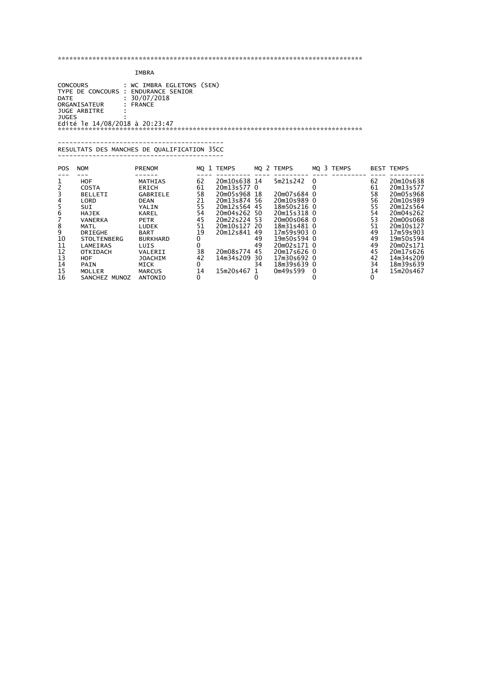## IMBRA

 CONCOURS : WC IMBRA EGLETONS (SEN) TYPE DE CONCOURS : ENDURANCE SENIOR DATE : 30/07/2018 ORGANISATEUR : FRANCE JUGE ARBITRE : JUGES : Edité le 14/08/2018 à 20:23:47 \*\*\*\*\*\*\*\*\*\*\*\*\*\*\*\*\*\*\*\*\*\*\*\*\*\*\*\*\*\*\*\*\*\*\*\*\*\*\*\*\*\*\*\*\*\*\*\*\*\*\*\*\*\*\*\*\*\*\*\*\*\*\*\*\*\*\*\*\*\*\*\*\*\*\*\*\*\*\*

#### ------------------------------------------- RESULTATS DES MANCHES DE QUALIFICATION 35CC -------------------------------------------

| <b>POS</b>                 | <b>NOM</b>                                                                                                                                                                                         | <b>PRENOM</b>                                                                                                                                                                                    |                                                                     | MO 1 TEMPS                                                                                                                                       |                                                                        | MQ 2 TEMPS                                                                                                                                                                                   |        | MO 3 TEMPS |                                                                                  | <b>BEST TEMPS</b>                                                                                                                                                                  |
|----------------------------|----------------------------------------------------------------------------------------------------------------------------------------------------------------------------------------------------|--------------------------------------------------------------------------------------------------------------------------------------------------------------------------------------------------|---------------------------------------------------------------------|--------------------------------------------------------------------------------------------------------------------------------------------------|------------------------------------------------------------------------|----------------------------------------------------------------------------------------------------------------------------------------------------------------------------------------------|--------|------------|----------------------------------------------------------------------------------|------------------------------------------------------------------------------------------------------------------------------------------------------------------------------------|
| 10<br>11<br>12<br>13<br>14 | <b>HOF</b><br>COSTA<br><b>BELLETI</b><br>LORD<br>SUI<br><b>HAJEK</b><br><b>VANERKA</b><br><b>MATL</b><br><b>DRIEGHE</b><br><b>STOLTENBERG</b><br>LAMEIRAS<br><b>OTKIDACH</b><br>HOF<br><b>PAIN</b> | MATHIAS<br><b>ERICH</b><br>GABRIELE<br><b>DEAN</b><br>YALIN<br><b>KAREL</b><br><b>PETR</b><br><b>LUDEK</b><br><b>BART</b><br><b>BURKHARD</b><br>LUIS<br>VALERII<br><b>JOACHIM</b><br><b>MICK</b> | 62<br>61<br>58<br>21<br>55<br>54<br>45<br>51<br>19<br>38<br>42<br>0 | 20m10s638 14<br>20m13s577 0<br>20m05s968<br>20m13s874<br>20m12s564<br>20m04s262<br>20m22s224<br>20m10s127<br>20m12s841<br>20m08s774<br>14m34s209 | 18<br>-56<br>45<br>50<br>-53<br>20<br>49<br>49<br>49<br>45<br>30<br>34 | 5m21s242<br>20m07s684 0<br>20m10s989 0<br>18m50s216 0<br>20m15s318 0<br>20m00s068 0<br>18m31s481 0<br>17m59s903 0<br>19m50s594 0<br>20m02s171 0<br>20m17s626 0<br>17m30s692 0<br>18m39s639 0 | 0      |            | 62<br>61<br>58<br>56<br>55<br>54<br>53<br>51<br>49<br>49<br>49<br>45<br>42<br>34 | 20m10s638<br>20m13s577<br>20m05s968<br>20m10s989<br>20m12s564<br>20m04s262<br>20m00s068<br>20m10s127<br>17m59s903<br>19m50s594<br>20m02s171<br>20m17s626<br>14m34s209<br>18m39s639 |
| 15<br>16                   | MOLLER<br>SANCHEZ<br>MUNOZ                                                                                                                                                                         | <b>MARCUS</b><br>ANTONIO                                                                                                                                                                         | 14<br>$\Omega$                                                      | 15m20s467                                                                                                                                        | O                                                                      | 0m49s599                                                                                                                                                                                     | 0<br>0 |            | 14<br>0                                                                          | 15m20s467                                                                                                                                                                          |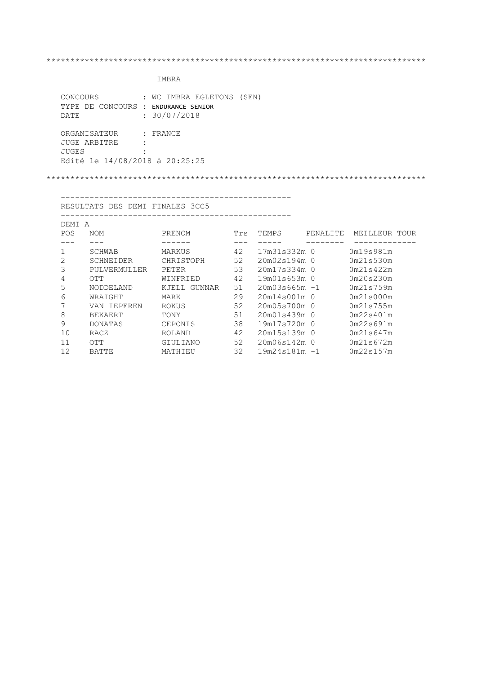# IMBRA

| CONCOURS                            | : WC IMBRA EGLETONS (SEN) |
|-------------------------------------|---------------------------|
| TYPE DE CONCOURS : ENDURANCE SENIOR |                           |
| DATE.                               | : 30/07/2018              |
|                                     |                           |
| ORGANISATEUR                        | $:$ FRANCE                |
| JUGE ARBITRE                        |                           |
| JUGES                               |                           |
| Edité le 14/08/2018 à 20:25:25      |                           |
|                                     |                           |

\*\*\*\*\*\*\*\*\*\*\*\*\*\*\*\*\*\*\*\*\*\*\*\*\*\*\*\*\*\*\*\*\*\*\*\*\*\*\*\*\*\*\*\*\*\*\*\*\*\*\*\*\*\*\*\*\*\*\*\*\*\*\*\*\*\*\*\*\*\*\*\*\*\*\*\*\*\*\*

 ------------------------------------------------ RESULTATS DES DEMI FINALES 3CC5 ------------------------------------------------

| DEMI<br>A |                |                 |     |                  |          |               |
|-----------|----------------|-----------------|-----|------------------|----------|---------------|
| POS       | <b>NOM</b>     | PRENOM          | Trs | TEMPS            | PENALITE | MEILLEUR TOUR |
|           |                |                 |     |                  |          |               |
|           | SCHWAB         | MARKUS          | 42  | 17m31s332m 0     |          | 0m19s981m     |
| 2         | SCHNEIDER      | CHRISTOPH       | 52  | 20m02s194m 0     |          | 0m21s530m     |
| 3         | PULVERMULLER   | PETER           | 53  | 20m17s334m 0     |          | 0m21s422m     |
| 4         | OTT            | WINFRIED        | 42  | 19m01s653m 0     |          | 0m20s230m     |
| 5         | NODDELAND      | GUNNAR<br>KJELL | 51  | $20m03s665m - 1$ |          | 0m21s759m     |
| 6         | WRAIGHT        | MARK            | 29  | 20m14s001m 0     |          | 0m21s000m     |
| 7         | VAN IEPEREN    | ROKUS           | 52  | 20m05s700m 0     |          | 0m21s755m     |
| 8         | <b>BEKAERT</b> | TONY            | 51  | 20m01s439m 0     |          | 0m22s401m     |
| 9         | <b>DONATAS</b> | CEPONIS         | 38  | 19m17s720m 0     |          | 0m22s691m     |
| 10        | RACZ           | ROLAND          | 42  | 20m15s139m 0     |          | 0m21s647m     |
| 11        | OTT            | GIULIANO        | 52  | 20m06s142m 0     |          | 0m21s672m     |
| 12        | <b>BATTE</b>   | MATHIEU         | 32  | $19m24s181m - 1$ |          | 0m22s157m     |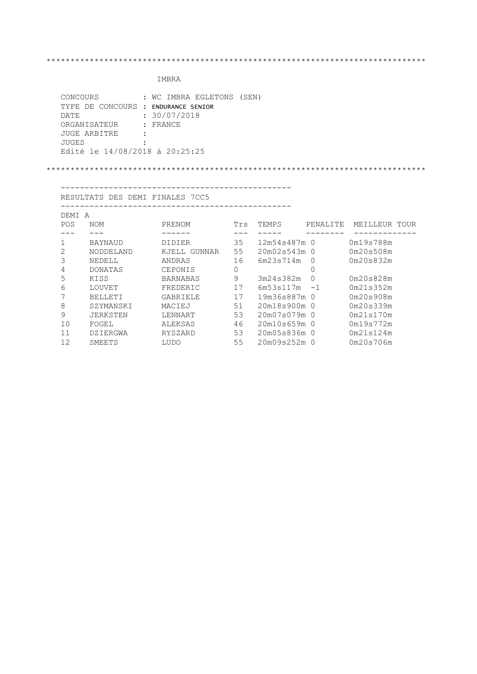# IMBRA

| CONCOURS                            | : WC IMBRA EGLETONS (SEN) |
|-------------------------------------|---------------------------|
| TYPE DE CONCOURS : ENDURANCE SENIOR |                           |
| DATE.                               | : 30/07/2018              |
| ORGANISATEUR                        | : FRANCE                  |
| JUGE ARBITRE                        |                           |
| JUGES                               |                           |
| Edité le 14/08/2018 à 20:25:25      |                           |

#### \*\*\*\*\*\*\*\*\*\*\*\*\*\*\*\*\*\*\*\*\*\*\*\*\*\*\*\*\*\*\*\*\*\*\*\*\*\*\*\*\*\*\*\*\*\*\*\*\*\*\*\*\*\*\*\*\*\*\*\*\*\*\*\*\*\*\*\*\*\*\*\*\*\*\*\*\*\*\*

------------------------------------------------

 RESULTATS DES DEMI FINALES 7CC5 ------------------------------------------------

| DEMI<br>A  |                 |                 |     |                |          |               |
|------------|-----------------|-----------------|-----|----------------|----------|---------------|
| <b>POS</b> | <b>NOM</b>      | PRENOM          | Trs | TEMPS          | PENALITE | MEILLEUR TOUR |
|            |                 |                 |     |                |          |               |
|            | <b>BAYNAUD</b>  | <b>DIDIER</b>   | 35  | 12m54s487m 0   |          | 0m19s788m     |
| 2          | NODDELAND       | GUNNAR<br>KJELL | 55  | 20m02s543m 0   |          | 0m20s508m     |
| 3          | NEDELL          | ANDRAS          | 16  | 6m23s714m      | $\Omega$ | 0m20s832m     |
| 4          | <b>DONATAS</b>  | CEPONIS         | 0   |                | 0        |               |
| 5          | KISS            | <b>BARNABAS</b> | 9   | 3m24s382m      | 0        | 0m20s828m     |
| 6          | LOUVET          | FREDERIC        | 17  | 6m53s117m      | $-1$     | 0m21s352m     |
| 7          | <b>BELLETI</b>  | GABRIELE        | 17  | 19m36s887m 0   |          | 0m20s908m     |
| 8          | SZYMANSKI       | MACIEJ          | 51  | 20m18s900m 0   |          | 0m20s339m     |
| 9          | <b>JERKSTEN</b> | LENNART         | 53  | 20m07s079m 0   |          | 0m21s170m     |
| 10         | FOGEL           | ALEKSAS         | 46  | $20m10s659m$ 0 |          | 0m19s772m     |
| 11         | DZIERGWA        | RYSZARD         | 53  | 20m05s836m 0   |          | 0m21s124m     |
| 12         | SMEETS          | LUDO            | 55  | 20m09s252m     | 0        | 0m20s706m     |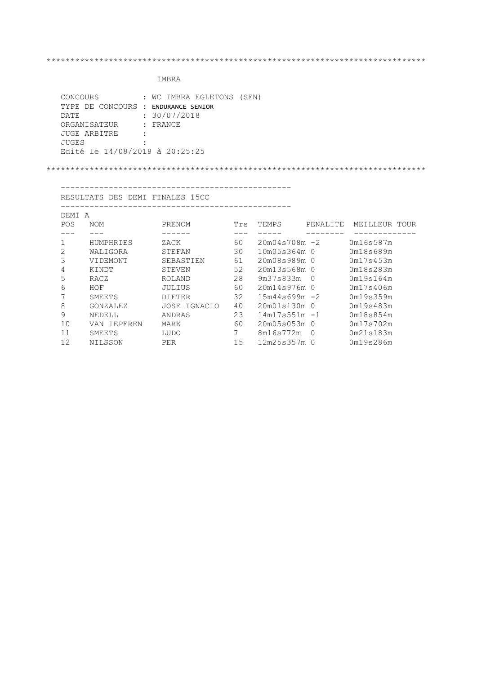# IMBRA

| CONCOURS                            | : WC IMBRA EGLETONS (SEN) |
|-------------------------------------|---------------------------|
| TYPE DE CONCOURS : ENDURANCE SENIOR |                           |
| DATE.                               | : 30/07/2018              |
| ORGANISATEUR                        | : FRANCE                  |
| JUGE ARBITRE                        |                           |
| JUGES                               |                           |
| Edité le 14/08/2018 à 20:25:25      |                           |

#### \*\*\*\*\*\*\*\*\*\*\*\*\*\*\*\*\*\*\*\*\*\*\*\*\*\*\*\*\*\*\*\*\*\*\*\*\*\*\*\*\*\*\*\*\*\*\*\*\*\*\*\*\*\*\*\*\*\*\*\*\*\*\*\*\*\*\*\*\*\*\*\*\*\*\*\*\*\*\*

------------------------------------------------

 RESULTATS DES DEMI FINALES 15CC ------------------------------------------------

| DEMI<br>A  |                |                  |     |                  |           |               |
|------------|----------------|------------------|-----|------------------|-----------|---------------|
| <b>POS</b> | <b>NOM</b>     | PRENOM           | Trs | TEMPS            | PENALITE  | MEILLEUR TOUR |
|            |                |                  |     |                  |           |               |
|            | HUMPHRIES      | ZACK             | 60  | $20m04s708m - 2$ |           | 0m16s587m     |
| 2          | WALIGORA       | STEFAN           | 30  | 10m05s364m 0     |           | 0m18s689m     |
| 3          | VIDEMONT       | <b>SEBASTIEN</b> | 61  | 20m08s989m 0     |           | 0m17s453m     |
| 4          | KINDT          | <b>STEVEN</b>    | 52  | 20m13s568m 0     |           | 0m18s283m     |
| 5          | RACZ           | ROLAND           | 28  | 9m37s833m        | $\Omega$  | 0m19s164m     |
| 6          | HOF            | <b>JULIUS</b>    | 60  | $20m14s976m$ 0   |           | 0m17s406m     |
| 7          | SMEETS         | <b>DIETER</b>    | 32  | $15m44s699m - 2$ |           | 0m19s359m     |
| 8          | GONZALEZ       | JOSE IGNACIO     | 40  | 20m01s130m 0     |           | 0m19s483m     |
| 9          | NEDELL         | ANDRAS           | 23  | $14m17s551m - 1$ |           | 0m18s854m     |
| 10         | IEPEREN<br>VAN | MARK             | 60  | 20m05s053m 0     |           | 0m17s702m     |
| 11         | SMEETS         | LUDO             |     | 8m16s772m        | $\bigcap$ | 0m21s183m     |
| 12         | NILSSON        | PER              | 15  | 12m25s357m       | 0         | 0m19s286m     |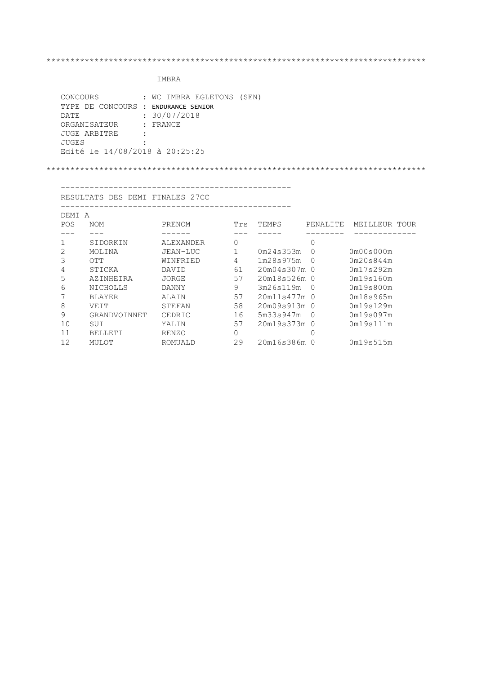# IMBRA

| CONCOURS                            | : WC IMBRA EGLETONS (SEN) |
|-------------------------------------|---------------------------|
| TYPE DE CONCOURS : ENDURANCE SENIOR |                           |
| DATE.                               | : 30/07/2018              |
| ORGANISATEUR                        | : FRANCE                  |
| JUGE ARBITRE                        |                           |
| JUGES                               |                           |
| Edité le 14/08/2018 à 20:25:25      |                           |

### \*\*\*\*\*\*\*\*\*\*\*\*\*\*\*\*\*\*\*\*\*\*\*\*\*\*\*\*\*\*\*\*\*\*\*\*\*\*\*\*\*\*\*\*\*\*\*\*\*\*\*\*\*\*\*\*\*\*\*\*\*\*\*\*\*\*\*\*\*\*\*\*\*\*\*\*\*\*\*

------------------------------------------------

RESULTATS DES DEMI FINALES 27CC

|--|

| DEMI<br>A |                |                  |     |              |           |               |
|-----------|----------------|------------------|-----|--------------|-----------|---------------|
| POS       | <b>NOM</b>     | PRENOM           | Trs | TEMPS        | PENALITE. | MEILLEUR TOUR |
|           |                |                  |     |              |           |               |
|           | SIDORKIN       | <b>ALEXANDER</b> |     |              | 0         |               |
| 2         | MOLINA         | JEAN-LUC         |     | 0m24s353m    | O         | 0m00s000m     |
| 3         | OTT            | WINFRIED         | 4   | 1m28s975m    | $\Omega$  | 0m20s844m     |
| 4         | STICKA         | DAVID            | 61  | 20m04s307m   | - 0       | 0m17s292m     |
| 5         | AZINHEIRA      | JORGE            | 57  | 20m18s526m 0 |           | 0m19s160m     |
| 6         | NICHOLLS       | DANNY            | 9   | 3m26s119m    | $\Omega$  | 0m19s800m     |
|           | <b>BLAYER</b>  | ALAIN            | 57  | 20m11s477m 0 |           | 0m18s965m     |
| 8         | VEIT           | STEFAN           | 58  | 20m09s913m   | - 0       | 0m19s129m     |
| 9         | GRANDVOINNET   | CEDRIC           | 16  | 5m33s947m    | $\cup$    | 0m19s097m     |
| 10        | SUI            | YALIN            | 57  | 20m19s373m   | - 0       | 0m19s111m     |
| 11        | <b>BELLETI</b> | <b>RENZO</b>     |     |              |           |               |
| 12        | MULOT          | ROMUALD          | 29  | 20m16s386m   |           | 0m19s515m     |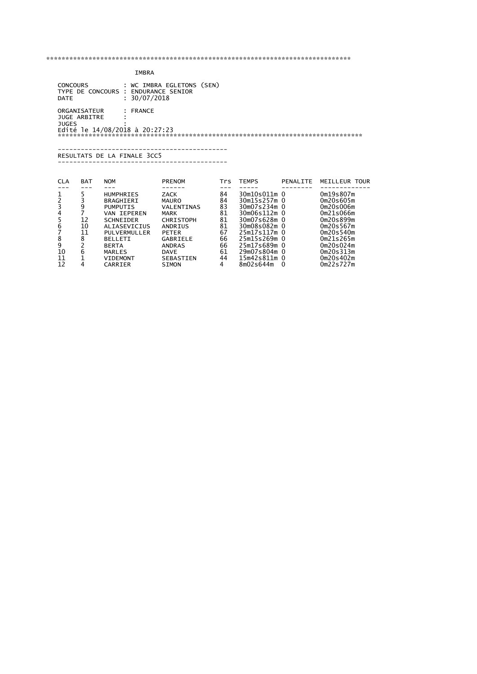|                                                  | IMBRA                               |                                                                                            |                                                                       |                                     |                                                              |          |                                                               |  |  |  |  |  |  |  |
|--------------------------------------------------|-------------------------------------|--------------------------------------------------------------------------------------------|-----------------------------------------------------------------------|-------------------------------------|--------------------------------------------------------------|----------|---------------------------------------------------------------|--|--|--|--|--|--|--|
| <b>CONCOURS</b><br><b>DATE</b>                   |                                     | TYPE DE CONCOURS : ENDURANCE SENIOR<br>: 30/07/2018                                        | : WC IMBRA EGLETONS (SEN)                                             |                                     |                                                              |          |                                                               |  |  |  |  |  |  |  |
| <b>JUGES</b>                                     | ORGANISATEUR<br><b>JUGE ARBITRE</b> | FRANCE<br>Edité le 14/08/2018 à 20:27:23<br>RESULTATS DE LA FINALE 3CC5                    |                                                                       |                                     |                                                              |          |                                                               |  |  |  |  |  |  |  |
| <b>CLA</b>                                       | <b>BAT</b>                          | <b>NOM</b>                                                                                 | <b>PRENOM</b>                                                         | <b>Trs</b>                          | <b>TEMPS</b>                                                 | PENALITE | MEILLEUR TOUR                                                 |  |  |  |  |  |  |  |
| $\frac{1}{2}$<br>$\bar{3}$<br>$\frac{4}{5}$<br>6 | 5<br>3<br>9<br>7<br>12              | <b>HUMPHRIES</b><br><b>BRAGHIERI</b><br><b>PUMPUTIS</b><br>VAN TEPEREN<br><b>SCHNEIDER</b> | ZACK<br><b>MAURO</b><br>VALENTINAS<br><b>MARK</b><br><b>CHRISTOPH</b> | $---$<br>84<br>84<br>83<br>81<br>81 | 30m10s011m 0<br>30m15s257m 0<br>30m07s234m 0<br>30m07s628m 0 |          | 0m19s807m<br>0m20s605m<br>0m20s006m<br>0m21s066m<br>0m20s899m |  |  |  |  |  |  |  |

 10 6 MARLES DAVE 61 29m07s804m 0 0m20s313m 11 1 VIDEMONT SEBASTIEN 44 15m42s811m 0 0m20s402m 12 4 CARRIER SIMON 4 8m02s644m 0 0m22s727m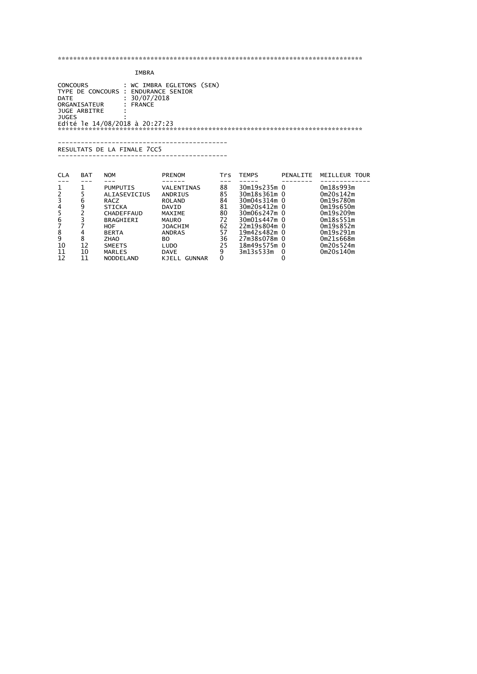## IMBRA

 CONCOURS : WC IMBRA EGLETONS (SEN) TYPE DE CONCOURS : ENDURANCE SENIOR DATE : 30/07/2018 ORGANISATEUR : FRANCE JUGE ARBITRE : JUGES : Edité le 14/08/2018 à 20:27:23 \*\*\*\*\*\*\*\*\*\*\*\*\*\*\*\*\*\*\*\*\*\*\*\*\*\*\*\*\*\*\*\*\*\*\*\*\*\*\*\*\*\*\*\*\*\*\*\*\*\*\*\*\*\*\*\*\*\*\*\*\*\*\*\*\*\*\*\*\*\*\*\*\*\*\*\*\*\*\*

 -------------------------------------------- RESULTATS DE LA FINALE 7CC5

--------------------------------------------

| <b>CLA</b> | <b>BAT</b> | <b>NOM</b>      | <b>PRENOM</b>          | Trs | <b>TEMPS</b> | PENALITE | MEILLEUR TOUR |
|------------|------------|-----------------|------------------------|-----|--------------|----------|---------------|
|            |            |                 |                        |     |              |          |               |
|            |            | <b>PUMPUTIS</b> | VALENTINAS             | 88  | 30m19s235m 0 |          | 0m18s993m     |
|            |            | ALIASEVICIUS    | ANDRIUS                | 85  | 30m18s361m 0 |          | 0m20s142m     |
|            | 6          | RACZ            | <b>ROLAND</b>          | 84  | 30m04s314m 0 |          | 0m19s780m     |
| 4          | 9          | <b>STICKA</b>   | DAVID                  | 81  | 30m20s412m 0 |          | 0m19s650m     |
|            |            | CHADEFFAUD      | MAXIME                 | 80  | 30m06s247m 0 |          | 0m19s209m     |
| 6          |            | BRAGHIERI       | <b>MAURO</b>           | 72  | 30m01s447m 0 |          | Om18s551m     |
|            |            | HOF             | JOACHIM                | 62  | 22m19s804m 0 |          | Om19s852m     |
| 8          |            | <b>BERTA</b>    | <b>ANDRAS</b>          | 57  | 19m42s482m 0 |          | Om19s291m     |
| 9          | 8          | <b>ZHAO</b>     | вo                     | 36  | 27m38s078m 0 |          | 0m21s668m     |
| 10         | 12         | <b>SMEETS</b>   | LUDO                   | 25  | 18m49s575m 0 |          | 0m20s524m     |
| 11         | 10         | MARLES          | <b>DAVE</b>            | 9   | 3m13s533m    | $\Omega$ | 0m20s140m     |
| 12         | 11         | NODDELAND       | <b>GUNNAR</b><br>KJELL | 0   |              |          |               |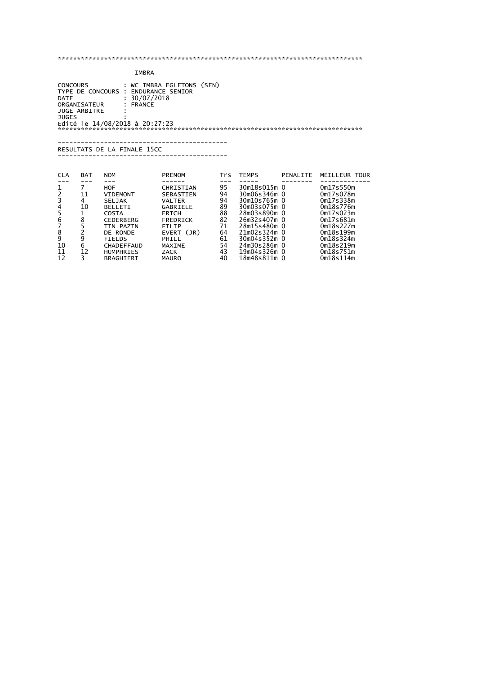## IMBRA

 CONCOURS : WC IMBRA EGLETONS (SEN) TYPE DE CONCOURS : ENDURANCE SENIOR DATE : 30/07/2018 ORGANISATEUR : FRANCE JUGE ARBITRE : JUGES : Edité le 14/08/2018 à 20:27:23 \*\*\*\*\*\*\*\*\*\*\*\*\*\*\*\*\*\*\*\*\*\*\*\*\*\*\*\*\*\*\*\*\*\*\*\*\*\*\*\*\*\*\*\*\*\*\*\*\*\*\*\*\*\*\*\*\*\*\*\*\*\*\*\*\*\*\*\*\*\*\*\*\*\*\*\*\*\*\*

#### -------------------------------------------- RESULTATS DE LA FINALE 15CC

------- ----- ---------------------

| <b>CLA</b> | <b>BAT</b> | <b>NOM</b>       | <b>PRENOM</b> | Trs | <b>TEMPS</b> | PENALITE | MEILLEUR TOUR |
|------------|------------|------------------|---------------|-----|--------------|----------|---------------|
|            |            |                  |               |     |              |          |               |
|            |            | HOF              | CHRISTIAN     | 95  | 30m18s015m 0 |          | 0m17s550m     |
|            | 11         | <b>VIDEMONT</b>  | SEBASTIEN     | 94  | 30m06s346m 0 |          | 0m17s078m     |
|            | 4          | <b>SELJAK</b>    | VALTER        | 94  | 30m10s765m 0 |          | 0m17s338m     |
| 4          | 10         | <b>BELLETI</b>   | GABRIELE      | 89  | 30m03s075m 0 |          | 0m18s776m     |
|            |            | COSTA            | <b>ERICH</b>  | 88  | 28m03s890m 0 |          | 0m17s023m     |
| 6          | 8          | <b>CEDERBERG</b> | FREDRICK      | 82  | 26m32s407m 0 |          | 0m17s681m     |
|            |            | TIN PAZIN        | FILIP         | 71  | 28m15s480m 0 |          | 0m18s227m     |
| 8          |            | DE RONDE         | EVERT (JR)    | 64  | 21m02s324m 0 |          | Om18s199m     |
| 9          | ٩          | <b>FIELDS</b>    | PHILL         | 61  | 30m04s352m 0 |          | Om18s324m     |
| 10         | 6          | CHADEFFAUD       | MAXIME        | 54  | 24m30s286m 0 |          | 0m18s219m     |
| 11         | 12         | <b>HUMPHRIES</b> | ZACK          | 43  | 19m04s326m 0 |          | Om18s751m     |
| 12         | R          | BRAGHIERI        | <b>MAURO</b>  | 40  | 18m48s811m 0 |          | Om18s114m     |
|            |            |                  |               |     |              |          |               |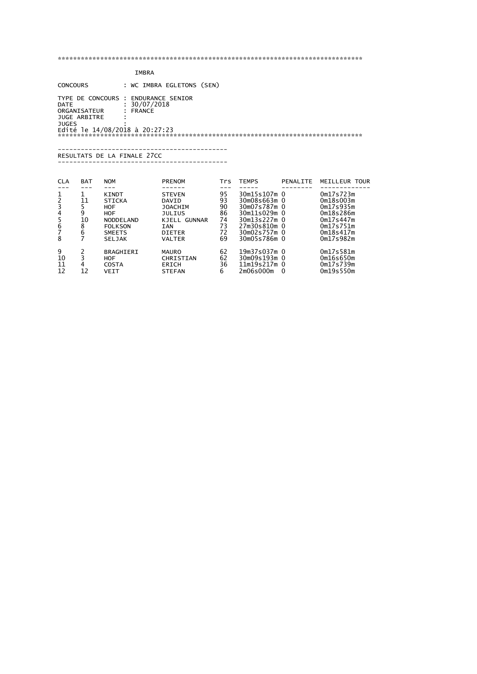| IMBRA |
|-------|
|       |

 CONCOURS : WC IMBRA EGLETONS (SEN) TYPE DE CONCOURS : ENDURANCE SENIOR  $\frac{30}{07/2018}$ <br> $\frac{30}{07/2018}$ DATE<br>ORGANISATEUR JUGE ARBITRE : JUGES : Edité le 14/08/2018 à 20:27:23 \*\*\*\*\*\*\*\*\*\*\*\*\*\*\*\*\*\*\*\*\*\*\*\*\*\*\*\*\*\*\*\*\*\*\*\*\*\*\*\*\*\*\*\*\*\*\*\*\*\*\*\*\*\*\*\*\*\*\*\*\*\*\*\*\*\*\*\*\*\*\*\*\*\*\*\*\*\*\* -------------------------------------------- RESULTATS DE LA FINALE 27CC -------------------------------------------- CLA BAT NOM PRENOM Trs TEMPS PENALITE MEILLEUR TOUR --- --- --- ------ --- ----- -------- ------------- 1 1 KINDT STEVEN 95 30m15s107m 0 0m17s723m 2 11 STICKA DAVID 93 30m08s663m 0 0m18s003m<br>3 5 HOF JOACHIM 90 30m07s787m 0 0m17s935m<br>4 9 HOF JULIUS 86 30m11s029m 0 0m18s286m 3 5 HOF JOACHIM 90 30m07s787m 0 0m17s935m 4 9 HOF JULIUS 86 30m11s029m 0 0m18s286m 5 10 NODDELAND KJELL GUNNAR 74 30m13s227m 0 0m17s447m 6 8 FOLKSON IAN 73 27m30s810m 0 0m17s751m 7 6 SMEETS DIETER 72 30m02s757m 0 0m18s417m 8 7 SELJAK VALTER 69 30m05s786m 0 0m17s982m 9 2 BRAGHIERI MAURO 62 19m37s037m 0 0m17s581m 10 3 HOF CHRISTIAN 62 30m09s193m 0 0m16s650m 11 4 COSTA ERICH 36 11m19s217m 0 0m17s739m 12 12 VEIT STEFAN 6 2m06s000m 0 0m19s550m